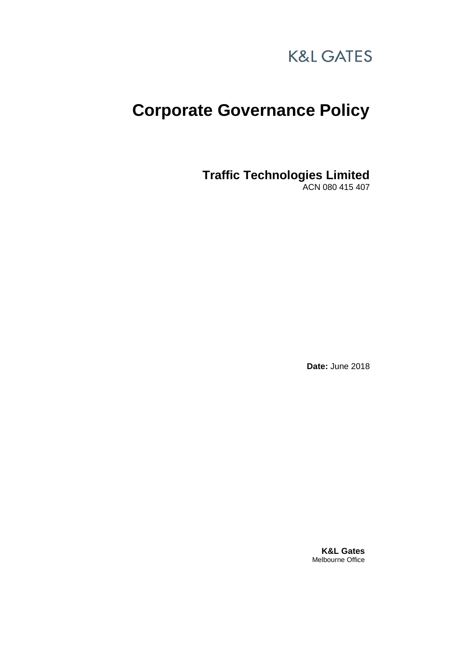

# **Corporate Governance Policy**

**Traffic Technologies Limited**

ACN 080 415 407

**Date:** June 2018

**K&L Gates** Melbourne Office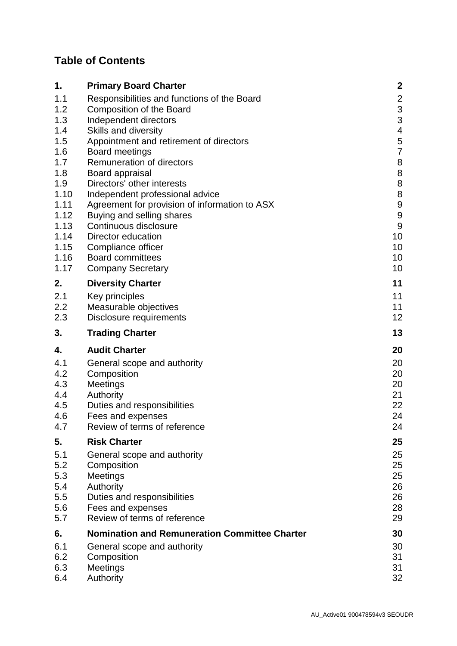# **Table of Contents**

| 1.                | <b>Primary Board Charter</b>                                                                            | $\boldsymbol{2}$        |
|-------------------|---------------------------------------------------------------------------------------------------------|-------------------------|
| 1.1<br>1.2<br>1.3 | Responsibilities and functions of the Board<br><b>Composition of the Board</b><br>Independent directors | $\frac{2}{3}$<br>3      |
| 1.4               | Skills and diversity                                                                                    | $\overline{\mathbf{4}}$ |
| 1.5               | Appointment and retirement of directors                                                                 | 5                       |
| 1.6               | <b>Board meetings</b>                                                                                   | $\overline{7}$          |
| 1.7               | Remuneration of directors                                                                               | 8                       |
| 1.8               | Board appraisal                                                                                         | 8                       |
| 1.9               | Directors' other interests                                                                              | $\bf 8$                 |
| 1.10              | Independent professional advice                                                                         | $\,8\,$                 |
| 1.11              | Agreement for provision of information to ASX                                                           | $\boldsymbol{9}$        |
| 1.12              | Buying and selling shares                                                                               | $\boldsymbol{9}$        |
| 1.13              | Continuous disclosure                                                                                   | $9\,$                   |
| 1.14              | Director education                                                                                      | 10                      |
| 1.15              | Compliance officer                                                                                      | 10                      |
| 1.16              | <b>Board committees</b>                                                                                 | 10                      |
| 1.17              | <b>Company Secretary</b>                                                                                | 10                      |
| 2.                | <b>Diversity Charter</b>                                                                                | 11                      |
| 2.1               | Key principles                                                                                          | 11                      |
| 2.2               | Measurable objectives                                                                                   | 11                      |
| 2.3               | Disclosure requirements                                                                                 | 12                      |
| 3.                | <b>Trading Charter</b>                                                                                  | 13                      |
| 4.                | <b>Audit Charter</b>                                                                                    | 20                      |
| 4.1               | General scope and authority                                                                             | 20                      |
| 4.2               | Composition                                                                                             | 20                      |
| 4.3               | Meetings                                                                                                | 20                      |
| 4.4               | Authority                                                                                               | 21                      |
| 4.5               | Duties and responsibilities                                                                             | 22                      |
| 4.6               | Fees and expenses                                                                                       | 24                      |
| 4.7               | Review of terms of reference                                                                            | 24                      |
| 5.                | <b>Risk Charter</b>                                                                                     | 25                      |
| 5.1               | General scope and authority                                                                             | 25                      |
| 5.2               | Composition                                                                                             | 25                      |
| 5.3               | Meetings                                                                                                | 25                      |
| 5.4               | Authority                                                                                               | 26                      |
| 5.5               | Duties and responsibilities                                                                             | 26                      |
| 5.6               | Fees and expenses                                                                                       | 28                      |
| 5.7               | Review of terms of reference                                                                            | 29                      |
| 6.                | <b>Nomination and Remuneration Committee Charter</b>                                                    | 30                      |
| 6.1               | General scope and authority                                                                             | 30                      |
| 6.2               | Composition                                                                                             | 31                      |
| 6.3               | Meetings                                                                                                | 31                      |
| 6.4               | Authority                                                                                               | 32                      |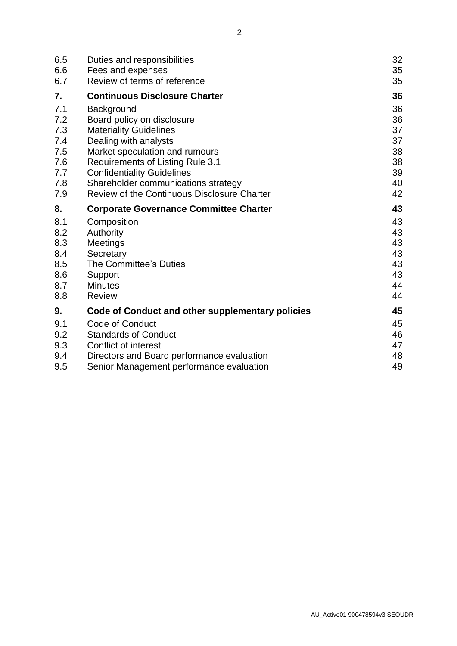| 6.5 | Duties and responsibilities                        | 32 |
|-----|----------------------------------------------------|----|
| 6.6 | Fees and expenses                                  | 35 |
| 6.7 | Review of terms of reference                       | 35 |
| 7.  | <b>Continuous Disclosure Charter</b>               | 36 |
| 7.1 | Background                                         | 36 |
| 7.2 | Board policy on disclosure                         | 36 |
| 7.3 | <b>Materiality Guidelines</b>                      | 37 |
| 7.4 | Dealing with analysts                              | 37 |
| 7.5 | Market speculation and rumours                     | 38 |
| 7.6 | <b>Requirements of Listing Rule 3.1</b>            | 38 |
| 7.7 | <b>Confidentiality Guidelines</b>                  | 39 |
| 7.8 | Shareholder communications strategy                | 40 |
| 7.9 | <b>Review of the Continuous Disclosure Charter</b> | 42 |
| 8.  | <b>Corporate Governance Committee Charter</b>      | 43 |
| 8.1 | Composition                                        | 43 |
| 8.2 | Authority                                          | 43 |
| 8.3 | Meetings                                           | 43 |
| 8.4 | Secretary                                          | 43 |
| 8.5 | The Committee's Duties                             | 43 |
| 8.6 | Support                                            | 43 |
| 8.7 | <b>Minutes</b>                                     | 44 |
| 8.8 | <b>Review</b>                                      | 44 |
| 9.  | Code of Conduct and other supplementary policies   | 45 |
| 9.1 | <b>Code of Conduct</b>                             | 45 |
| 9.2 | <b>Standards of Conduct</b>                        | 46 |
| 9.3 | Conflict of interest                               | 47 |
| 9.4 | Directors and Board performance evaluation         | 48 |
| 9.5 | Senior Management performance evaluation           | 49 |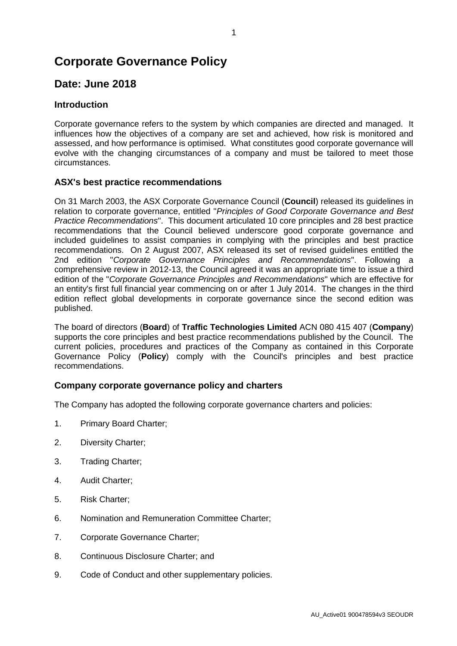# **Corporate Governance Policy**

# **Date: June 2018**

## **Introduction**

Corporate governance refers to the system by which companies are directed and managed. It influences how the objectives of a company are set and achieved, how risk is monitored and assessed, and how performance is optimised. What constitutes good corporate governance will evolve with the changing circumstances of a company and must be tailored to meet those circumstances.

#### **ASX's best practice recommendations**

On 31 March 2003, the ASX Corporate Governance Council (**Council**) released its guidelines in relation to corporate governance, entitled "*Principles of Good Corporate Governance and Best Practice Recommendations*". This document articulated 10 core principles and 28 best practice recommendations that the Council believed underscore good corporate governance and included guidelines to assist companies in complying with the principles and best practice recommendations. On 2 August 2007, ASX released its set of revised guidelines entitled the 2nd edition "*Corporate Governance Principles and Recommendations*". Following a comprehensive review in 2012-13, the Council agreed it was an appropriate time to issue a third edition of the "*Corporate Governance Principles and Recommendations*" which are effective for an entity's first full financial year commencing on or after 1 July 2014. The changes in the third edition reflect global developments in corporate governance since the second edition was published.

The board of directors (**Board**) of **Traffic Technologies Limited** ACN 080 415 407 (**Company**) supports the core principles and best practice recommendations published by the Council. The current policies, procedures and practices of the Company as contained in this Corporate Governance Policy (**Policy**) comply with the Council's principles and best practice recommendations.

#### **Company corporate governance policy and charters**

The Company has adopted the following corporate governance charters and policies:

- 1. Primary Board Charter;
- 2. Diversity Charter;
- <span id="page-3-0"></span>3. Trading Charter;
- 4. Audit Charter;
- 5. Risk Charter;
- 6. Nomination and Remuneration Committee Charter;
- 7. Corporate Governance Charter;
- 8. Continuous Disclosure Charter; and
- 9. Code of Conduct and other supplementary policies.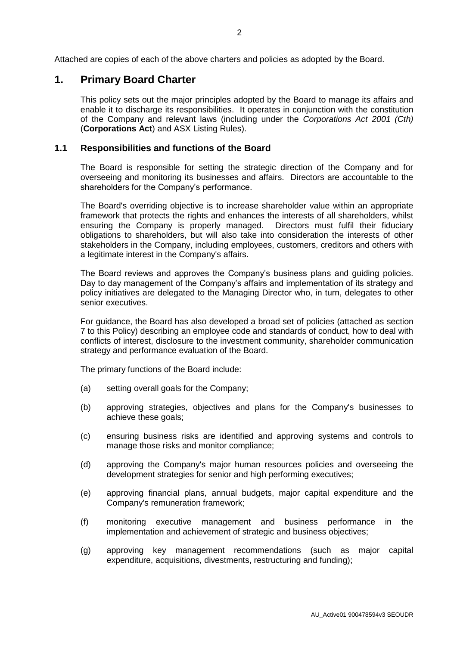Attached are copies of each of the above charters and policies as adopted by the Board.

## **1. Primary Board Charter**

This policy sets out the major principles adopted by the Board to manage its affairs and enable it to discharge its responsibilities. It operates in conjunction with the constitution of the Company and relevant laws (including under the *Corporations Act 2001 (Cth)* (**Corporations Act**) and ASX Listing Rules).

#### **1.1 Responsibilities and functions of the Board**

The Board is responsible for setting the strategic direction of the Company and for overseeing and monitoring its businesses and affairs. Directors are accountable to the shareholders for the Company's performance.

The Board's overriding objective is to increase shareholder value within an appropriate framework that protects the rights and enhances the interests of all shareholders, whilst ensuring the Company is properly managed. Directors must fulfil their fiduciary obligations to shareholders, but will also take into consideration the interests of other stakeholders in the Company, including employees, customers, creditors and others with a legitimate interest in the Company's affairs.

The Board reviews and approves the Company's business plans and guiding policies. Day to day management of the Company's affairs and implementation of its strategy and policy initiatives are delegated to the Managing Director who, in turn, delegates to other senior executives.

For guidance, the Board has also developed a broad set of policies (attached as section [7](#page-38-0) to this Policy) describing an employee code and standards of conduct, how to deal with conflicts of interest, disclosure to the investment community, shareholder communication strategy and performance evaluation of the Board.

The primary functions of the Board include:

- (a) setting overall goals for the Company;
- (b) approving strategies, objectives and plans for the Company's businesses to achieve these goals;
- (c) ensuring business risks are identified and approving systems and controls to manage those risks and monitor compliance;
- (d) approving the Company's major human resources policies and overseeing the development strategies for senior and high performing executives;
- (e) approving financial plans, annual budgets, major capital expenditure and the Company's remuneration framework;
- (f) monitoring executive management and business performance in the implementation and achievement of strategic and business objectives;
- (g) approving key management recommendations (such as major capital expenditure, acquisitions, divestments, restructuring and funding);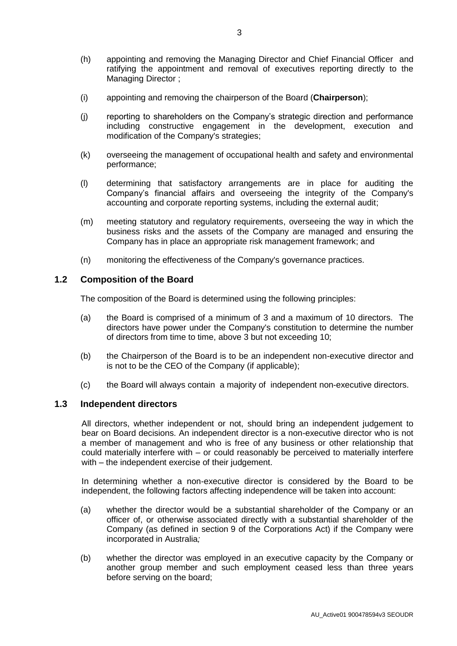- (h) appointing and removing the Managing Director and Chief Financial Officer and ratifying the appointment and removal of executives reporting directly to the Managing Director ;
- (i) appointing and removing the chairperson of the Board (**Chairperson**);
- (j) reporting to shareholders on the Company's strategic direction and performance including constructive engagement in the development, execution and modification of the Company's strategies;
- (k) overseeing the management of occupational health and safety and environmental performance;
- (l) determining that satisfactory arrangements are in place for auditing the Company's financial affairs and overseeing the integrity of the Company's accounting and corporate reporting systems, including the external audit;
- (m) meeting statutory and regulatory requirements, overseeing the way in which the business risks and the assets of the Company are managed and ensuring the Company has in place an appropriate risk management framework; and
- (n) monitoring the effectiveness of the Company's governance practices.

#### **1.2 Composition of the Board**

The composition of the Board is determined using the following principles:

- (a) the Board is comprised of a minimum of 3 and a maximum of 10 directors. The directors have power under the Company's constitution to determine the number of directors from time to time, above 3 but not exceeding 10;
- (b) the Chairperson of the Board is to be an independent non-executive director and is not to be the CEO of the Company (if applicable);
- (c) the Board will always contain a majority of independent non-executive directors.

#### **1.3 Independent directors**

All directors, whether independent or not, should bring an independent judgement to bear on Board decisions. An independent director is a non-executive director who is not a member of management and who is free of any business or other relationship that could materially interfere with – or could reasonably be perceived to materially interfere with – the independent exercise of their judgement.

In determining whether a non-executive director is considered by the Board to be independent, the following factors affecting independence will be taken into account:

- (a) whether the director would be a substantial shareholder of the Company or an officer of, or otherwise associated directly with a substantial shareholder of the Company (as defined in section 9 of the Corporations Act) if the Company were incorporated in Australia*;*
- (b) whether the director was employed in an executive capacity by the Company or another group member and such employment ceased less than three years before serving on the board;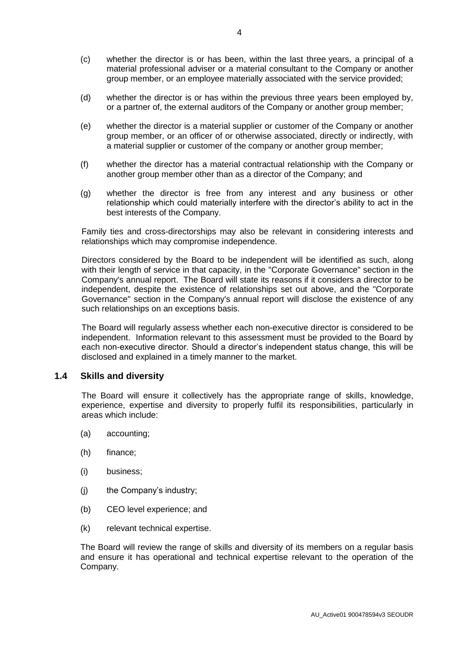- (c) whether the director is or has been, within the last three years, a principal of a material professional adviser or a material consultant to the Company or another group member, or an employee materially associated with the service provided;
- (d) whether the director is or has within the previous three years been employed by, or a partner of, the external auditors of the Company or another group member;
- (e) whether the director is a material supplier or customer of the Company or another group member, or an officer of or otherwise associated, directly or indirectly, with a material supplier or customer of the company or another group member;
- (f) whether the director has a material contractual relationship with the Company or another group member other than as a director of the Company; and
- (g) whether the director is free from any interest and any business or other relationship which could materially interfere with the director's ability to act in the best interests of the Company.

Family ties and cross-directorships may also be relevant in considering interests and relationships which may compromise independence.

Directors considered by the Board to be independent will be identified as such, along with their length of service in that capacity, in the "Corporate Governance" section in the Company's annual report. The Board will state its reasons if it considers a director to be independent, despite the existence of relationships set out above, and the "Corporate Governance" section in the Company's annual report will disclose the existence of any such relationships on an exceptions basis.

The Board will regularly assess whether each non-executive director is considered to be independent. Information relevant to this assessment must be provided to the Board by each non-executive director. Should a director's independent status change, this will be disclosed and explained in a timely manner to the market.

#### **1.4 Skills and diversity**

The Board will ensure it collectively has the appropriate range of skills, knowledge, experience, expertise and diversity to properly fulfil its responsibilities, particularly in areas which include:

- (a) accounting;
- (h) finance;
- (i) business;
- (j) the Company's industry;
- (b) CEO level experience; and
- (k) relevant technical expertise.

The Board will review the range of skills and diversity of its members on a regular basis and ensure it has operational and technical expertise relevant to the operation of the Company.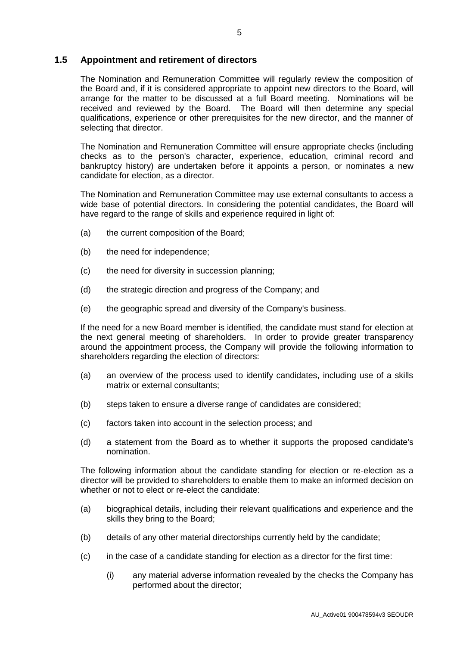#### **1.5 Appointment and retirement of directors**

The Nomination and Remuneration Committee will regularly review the composition of the Board and, if it is considered appropriate to appoint new directors to the Board, will arrange for the matter to be discussed at a full Board meeting. Nominations will be received and reviewed by the Board. The Board will then determine any special qualifications, experience or other prerequisites for the new director, and the manner of selecting that director.

The Nomination and Remuneration Committee will ensure appropriate checks (including checks as to the person's character, experience, education, criminal record and bankruptcy history) are undertaken before it appoints a person, or nominates a new candidate for election, as a director.

The Nomination and Remuneration Committee may use external consultants to access a wide base of potential directors. In considering the potential candidates, the Board will have regard to the range of skills and experience required in light of:

- (a) the current composition of the Board;
- (b) the need for independence;
- (c) the need for diversity in succession planning;
- (d) the strategic direction and progress of the Company; and
- (e) the geographic spread and diversity of the Company's business.

If the need for a new Board member is identified, the candidate must stand for election at the next general meeting of shareholders. In order to provide greater transparency around the appointment process, the Company will provide the following information to shareholders regarding the election of directors:

- (a) an overview of the process used to identify candidates, including use of a skills matrix or external consultants;
- (b) steps taken to ensure a diverse range of candidates are considered;
- (c) factors taken into account in the selection process; and
- (d) a statement from the Board as to whether it supports the proposed candidate's nomination.

The following information about the candidate standing for election or re-election as a director will be provided to shareholders to enable them to make an informed decision on whether or not to elect or re-elect the candidate:

- (a) biographical details, including their relevant qualifications and experience and the skills they bring to the Board;
- (b) details of any other material directorships currently held by the candidate;
- (c) in the case of a candidate standing for election as a director for the first time:
	- (i) any material adverse information revealed by the checks the Company has performed about the director;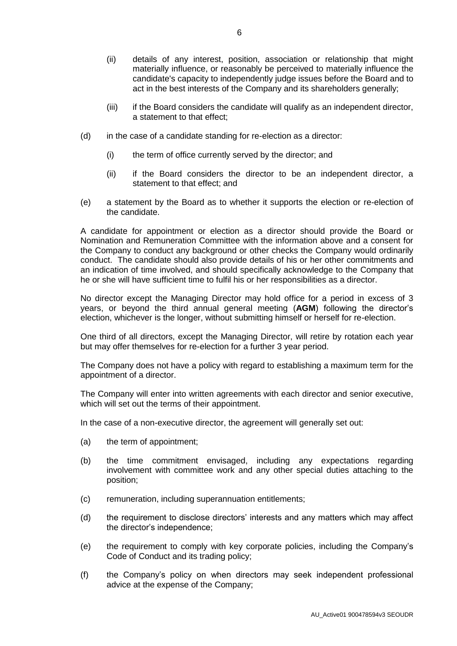- (ii) details of any interest, position, association or relationship that might materially influence, or reasonably be perceived to materially influence the candidate's capacity to independently judge issues before the Board and to act in the best interests of the Company and its shareholders generally;
- (iii) if the Board considers the candidate will qualify as an independent director, a statement to that effect;
- (d) in the case of a candidate standing for re-election as a director:
	- (i) the term of office currently served by the director; and
	- (ii) if the Board considers the director to be an independent director, a statement to that effect; and
- (e) a statement by the Board as to whether it supports the election or re-election of the candidate.

A candidate for appointment or election as a director should provide the Board or Nomination and Remuneration Committee with the information above and a consent for the Company to conduct any background or other checks the Company would ordinarily conduct. The candidate should also provide details of his or her other commitments and an indication of time involved, and should specifically acknowledge to the Company that he or she will have sufficient time to fulfil his or her responsibilities as a director.

No director except the Managing Director may hold office for a period in excess of 3 years, or beyond the third annual general meeting (**AGM**) following the director's election, whichever is the longer, without submitting himself or herself for re-election.

One third of all directors, except the Managing Director, will retire by rotation each year but may offer themselves for re-election for a further 3 year period.

The Company does not have a policy with regard to establishing a maximum term for the appointment of a director.

The Company will enter into written agreements with each director and senior executive, which will set out the terms of their appointment.

In the case of a non-executive director, the agreement will generally set out:

- (a) the term of appointment;
- (b) the time commitment envisaged, including any expectations regarding involvement with committee work and any other special duties attaching to the position;
- (c) remuneration, including superannuation entitlements;
- (d) the requirement to disclose directors' interests and any matters which may affect the director's independence;
- (e) the requirement to comply with key corporate policies, including the Company's Code of Conduct and its trading policy;
- (f) the Company's policy on when directors may seek independent professional advice at the expense of the Company;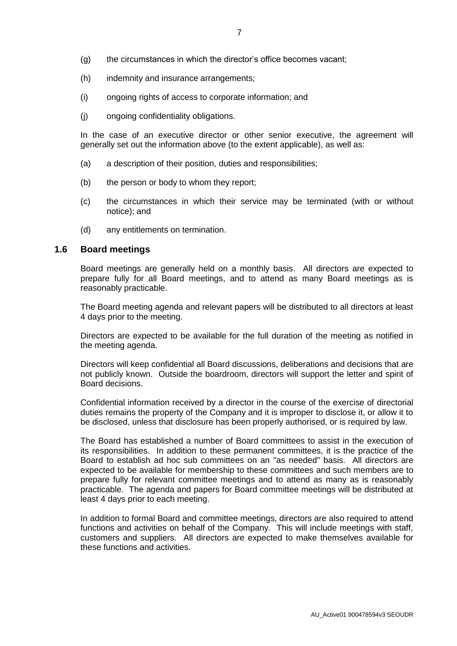- (g) the circumstances in which the director's office becomes vacant;
- (h) indemnity and insurance arrangements;
- (i) ongoing rights of access to corporate information; and
- (j) ongoing confidentiality obligations.

In the case of an executive director or other senior executive, the agreement will generally set out the information above (to the extent applicable), as well as:

- (a) a description of their position, duties and responsibilities;
- (b) the person or body to whom they report;
- (c) the circumstances in which their service may be terminated (with or without notice); and
- (d) any entitlements on termination.

#### **1.6 Board meetings**

Board meetings are generally held on a monthly basis. All directors are expected to prepare fully for all Board meetings, and to attend as many Board meetings as is reasonably practicable.

The Board meeting agenda and relevant papers will be distributed to all directors at least 4 days prior to the meeting.

Directors are expected to be available for the full duration of the meeting as notified in the meeting agenda.

Directors will keep confidential all Board discussions, deliberations and decisions that are not publicly known. Outside the boardroom, directors will support the letter and spirit of Board decisions.

Confidential information received by a director in the course of the exercise of directorial duties remains the property of the Company and it is improper to disclose it, or allow it to be disclosed, unless that disclosure has been properly authorised, or is required by law.

The Board has established a number of Board committees to assist in the execution of its responsibilities. In addition to these permanent committees, it is the practice of the Board to establish ad hoc sub committees on an "as needed" basis. All directors are expected to be available for membership to these committees and such members are to prepare fully for relevant committee meetings and to attend as many as is reasonably practicable. The agenda and papers for Board committee meetings will be distributed at least 4 days prior to each meeting.

In addition to formal Board and committee meetings, directors are also required to attend functions and activities on behalf of the Company. This will include meetings with staff, customers and suppliers. All directors are expected to make themselves available for these functions and activities.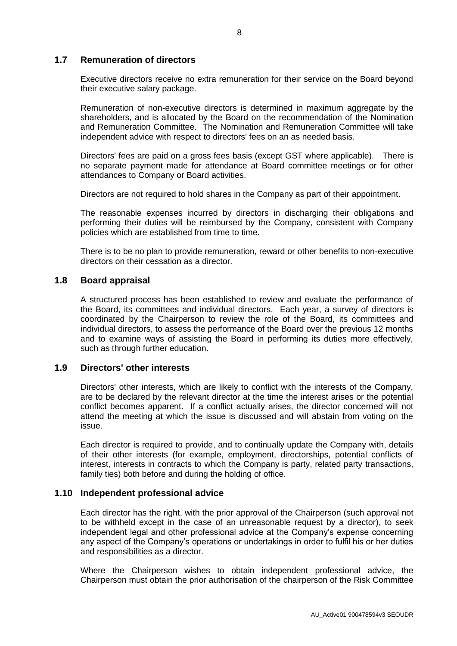#### **1.7 Remuneration of directors**

Executive directors receive no extra remuneration for their service on the Board beyond their executive salary package.

Remuneration of non-executive directors is determined in maximum aggregate by the shareholders, and is allocated by the Board on the recommendation of the Nomination and Remuneration Committee. The Nomination and Remuneration Committee will take independent advice with respect to directors' fees on an as needed basis.

Directors' fees are paid on a gross fees basis (except GST where applicable). There is no separate payment made for attendance at Board committee meetings or for other attendances to Company or Board activities.

Directors are not required to hold shares in the Company as part of their appointment.

The reasonable expenses incurred by directors in discharging their obligations and performing their duties will be reimbursed by the Company, consistent with Company policies which are established from time to time.

There is to be no plan to provide remuneration, reward or other benefits to non-executive directors on their cessation as a director.

#### **1.8 Board appraisal**

A structured process has been established to review and evaluate the performance of the Board, its committees and individual directors. Each year, a survey of directors is coordinated by the Chairperson to review the role of the Board, its committees and individual directors, to assess the performance of the Board over the previous 12 months and to examine ways of assisting the Board in performing its duties more effectively, such as through further education.

#### **1.9 Directors' other interests**

Directors' other interests, which are likely to conflict with the interests of the Company, are to be declared by the relevant director at the time the interest arises or the potential conflict becomes apparent. If a conflict actually arises, the director concerned will not attend the meeting at which the issue is discussed and will abstain from voting on the issue.

Each director is required to provide, and to continually update the Company with, details of their other interests (for example, employment, directorships, potential conflicts of interest, interests in contracts to which the Company is party, related party transactions, family ties) both before and during the holding of office.

#### **1.10 Independent professional advice**

Each director has the right, with the prior approval of the Chairperson (such approval not to be withheld except in the case of an unreasonable request by a director), to seek independent legal and other professional advice at the Company's expense concerning any aspect of the Company's operations or undertakings in order to fulfil his or her duties and responsibilities as a director.

Where the Chairperson wishes to obtain independent professional advice, the Chairperson must obtain the prior authorisation of the chairperson of the Risk Committee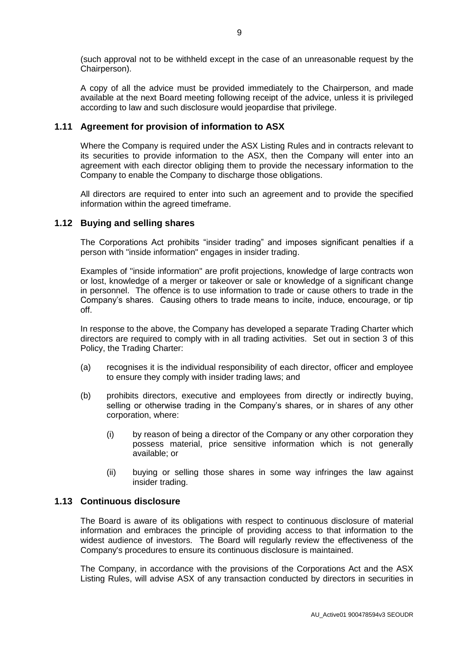(such approval not to be withheld except in the case of an unreasonable request by the Chairperson).

A copy of all the advice must be provided immediately to the Chairperson, and made available at the next Board meeting following receipt of the advice, unless it is privileged according to law and such disclosure would jeopardise that privilege.

#### **1.11 Agreement for provision of information to ASX**

Where the Company is required under the ASX Listing Rules and in contracts relevant to its securities to provide information to the ASX, then the Company will enter into an agreement with each director obliging them to provide the necessary information to the Company to enable the Company to discharge those obligations.

All directors are required to enter into such an agreement and to provide the specified information within the agreed timeframe.

#### **1.12 Buying and selling shares**

The Corporations Act prohibits "insider trading" and imposes significant penalties if a person with "inside information" engages in insider trading.

Examples of "inside information" are profit projections, knowledge of large contracts won or lost, knowledge of a merger or takeover or sale or knowledge of a significant change in personnel. The offence is to use information to trade or cause others to trade in the Company's shares. Causing others to trade means to incite, induce, encourage, or tip off.

In response to the above, the Company has developed a separate Trading Charter which directors are required to comply with in all trading activities. Set out in section [3](#page-3-0) of this Policy, the Trading Charter:

- (a) recognises it is the individual responsibility of each director, officer and employee to ensure they comply with insider trading laws; and
- (b) prohibits directors, executive and employees from directly or indirectly buying, selling or otherwise trading in the Company's shares, or in shares of any other corporation, where:
	- (i) by reason of being a director of the Company or any other corporation they possess material, price sensitive information which is not generally available; or
	- (ii) buying or selling those shares in some way infringes the law against insider trading.

#### **1.13 Continuous disclosure**

The Board is aware of its obligations with respect to continuous disclosure of material information and embraces the principle of providing access to that information to the widest audience of investors. The Board will regularly review the effectiveness of the Company's procedures to ensure its continuous disclosure is maintained.

The Company, in accordance with the provisions of the Corporations Act and the ASX Listing Rules, will advise ASX of any transaction conducted by directors in securities in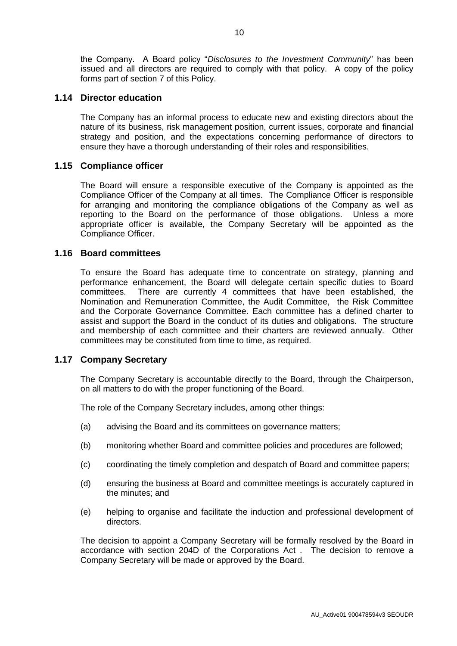the Company. A Board policy "*Disclosures to the Investment Community*" has been issued and all directors are required to comply with that policy. A copy of the policy forms part of section [7](#page-38-0) of this Policy.

#### **1.14 Director education**

The Company has an informal process to educate new and existing directors about the nature of its business, risk management position, current issues, corporate and financial strategy and position, and the expectations concerning performance of directors to ensure they have a thorough understanding of their roles and responsibilities.

#### **1.15 Compliance officer**

The Board will ensure a responsible executive of the Company is appointed as the Compliance Officer of the Company at all times. The Compliance Officer is responsible for arranging and monitoring the compliance obligations of the Company as well as reporting to the Board on the performance of those obligations. Unless a more appropriate officer is available, the Company Secretary will be appointed as the Compliance Officer.

#### **1.16 Board committees**

To ensure the Board has adequate time to concentrate on strategy, planning and performance enhancement, the Board will delegate certain specific duties to Board committees. There are currently 4 committees that have been established, the Nomination and Remuneration Committee, the Audit Committee, the Risk Committee and the Corporate Governance Committee. Each committee has a defined charter to assist and support the Board in the conduct of its duties and obligations. The structure and membership of each committee and their charters are reviewed annually. Other committees may be constituted from time to time, as required.

#### **1.17 Company Secretary**

The Company Secretary is accountable directly to the Board, through the Chairperson, on all matters to do with the proper functioning of the Board.

The role of the Company Secretary includes, among other things:

- (a) advising the Board and its committees on governance matters;
- (b) monitoring whether Board and committee policies and procedures are followed;
- (c) coordinating the timely completion and despatch of Board and committee papers;
- (d) ensuring the business at Board and committee meetings is accurately captured in the minutes; and
- (e) helping to organise and facilitate the induction and professional development of directors.

The decision to appoint a Company Secretary will be formally resolved by the Board in accordance with section 204D of the Corporations Act . The decision to remove a Company Secretary will be made or approved by the Board.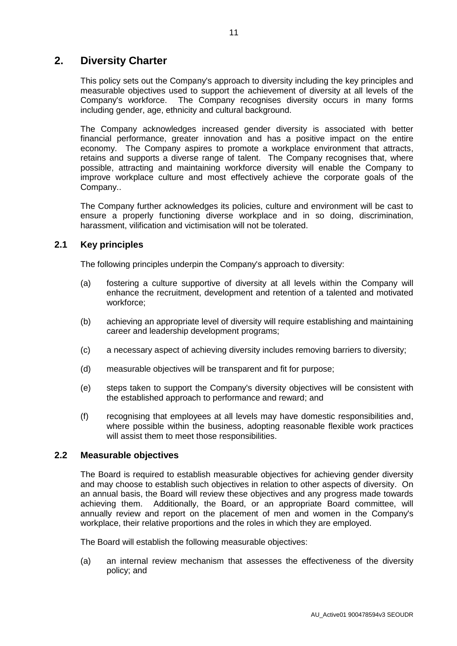# **2. Diversity Charter**

This policy sets out the Company's approach to diversity including the key principles and measurable objectives used to support the achievement of diversity at all levels of the Company's workforce. The Company recognises diversity occurs in many forms including gender, age, ethnicity and cultural background.

The Company acknowledges increased gender diversity is associated with better financial performance, greater innovation and has a positive impact on the entire economy. The Company aspires to promote a workplace environment that attracts, retains and supports a diverse range of talent. The Company recognises that, where possible, attracting and maintaining workforce diversity will enable the Company to improve workplace culture and most effectively achieve the corporate goals of the Company..

The Company further acknowledges its policies, culture and environment will be cast to ensure a properly functioning diverse workplace and in so doing, discrimination, harassment, vilification and victimisation will not be tolerated.

#### **2.1 Key principles**

The following principles underpin the Company's approach to diversity:

- (a) fostering a culture supportive of diversity at all levels within the Company will enhance the recruitment, development and retention of a talented and motivated workforce;
- (b) achieving an appropriate level of diversity will require establishing and maintaining career and leadership development programs;
- (c) a necessary aspect of achieving diversity includes removing barriers to diversity;
- (d) measurable objectives will be transparent and fit for purpose;
- (e) steps taken to support the Company's diversity objectives will be consistent with the established approach to performance and reward; and
- (f) recognising that employees at all levels may have domestic responsibilities and, where possible within the business, adopting reasonable flexible work practices will assist them to meet those responsibilities.

#### **2.2 Measurable objectives**

The Board is required to establish measurable objectives for achieving gender diversity and may choose to establish such objectives in relation to other aspects of diversity. On an annual basis, the Board will review these objectives and any progress made towards achieving them. Additionally, the Board, or an appropriate Board committee, will annually review and report on the placement of men and women in the Company's workplace, their relative proportions and the roles in which they are employed.

The Board will establish the following measurable objectives:

(a) an internal review mechanism that assesses the effectiveness of the diversity policy; and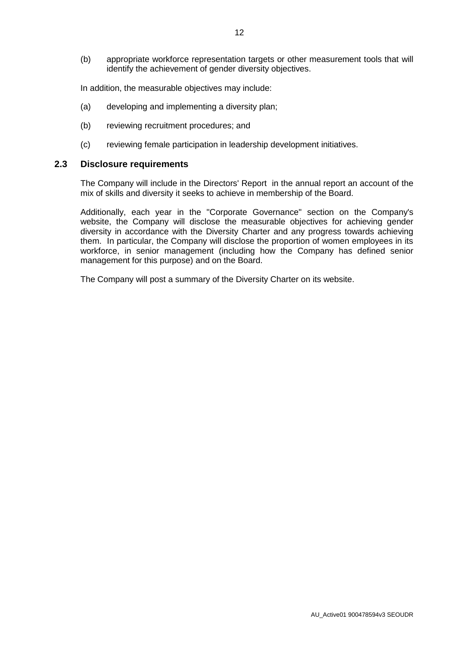(b) appropriate workforce representation targets or other measurement tools that will identify the achievement of gender diversity objectives.

In addition, the measurable objectives may include:

- (a) developing and implementing a diversity plan;
- (b) reviewing recruitment procedures; and
- (c) reviewing female participation in leadership development initiatives.

#### **2.3 Disclosure requirements**

The Company will include in the Directors' Report in the annual report an account of the mix of skills and diversity it seeks to achieve in membership of the Board.

Additionally, each year in the "Corporate Governance" section on the Company's website, the Company will disclose the measurable objectives for achieving gender diversity in accordance with the Diversity Charter and any progress towards achieving them. In particular, the Company will disclose the proportion of women employees in its workforce, in senior management (including how the Company has defined senior management for this purpose) and on the Board.

The Company will post a summary of the Diversity Charter on its website.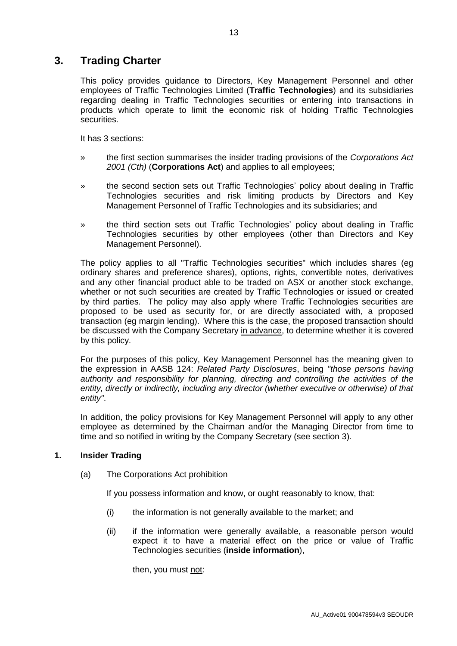# **3. Trading Charter**

This policy provides guidance to Directors, Key Management Personnel and other employees of Traffic Technologies Limited (**Traffic Technologies**) and its subsidiaries regarding dealing in Traffic Technologies securities or entering into transactions in products which operate to limit the economic risk of holding Traffic Technologies securities.

It has 3 sections:

- » the first section summarises the insider trading provisions of the *Corporations Act 2001 (Cth)* (**Corporations Act**) and applies to all employees;
- » the second section sets out Traffic Technologies' policy about dealing in Traffic Technologies securities and risk limiting products by Directors and Key Management Personnel of Traffic Technologies and its subsidiaries; and
- » the third section sets out Traffic Technologies' policy about dealing in Traffic Technologies securities by other employees (other than Directors and Key Management Personnel).

The policy applies to all "Traffic Technologies securities" which includes shares (eg ordinary shares and preference shares), options, rights, convertible notes, derivatives and any other financial product able to be traded on ASX or another stock exchange, whether or not such securities are created by Traffic Technologies or issued or created by third parties. The policy may also apply where Traffic Technologies securities are proposed to be used as security for, or are directly associated with, a proposed transaction (eg margin lending). Where this is the case, the proposed transaction should be discussed with the Company Secretary in advance, to determine whether it is covered by this policy.

For the purposes of this policy, Key Management Personnel has the meaning given to the expression in AASB 124: *Related Party Disclosures*, being *"those persons having authority and responsibility for planning, directing and controlling the activities of the entity, directly or indirectly, including any director (whether executive or otherwise) of that entity"*.

In addition, the policy provisions for Key Management Personnel will apply to any other employee as determined by the Chairman and/or the Managing Director from time to time and so notified in writing by the Company Secretary (see section 3).

#### **1. Insider Trading**

(a) The Corporations Act prohibition

If you possess information and know, or ought reasonably to know, that:

- (i) the information is not generally available to the market; and
- (ii) if the information were generally available, a reasonable person would expect it to have a material effect on the price or value of Traffic Technologies securities (**inside information**),

then, you must not: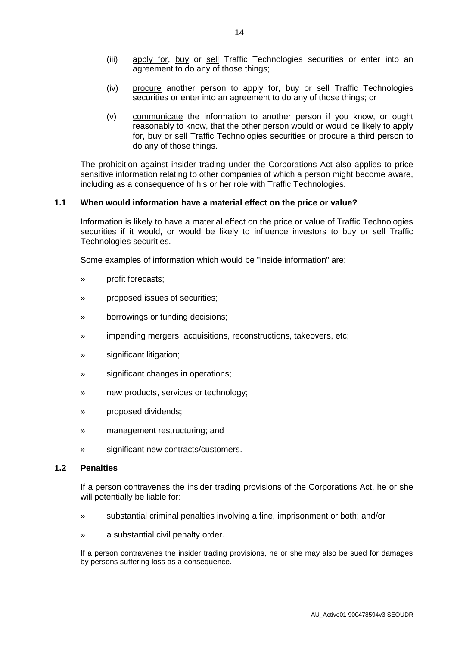- (iii) apply for, buy or sell Traffic Technologies securities or enter into an agreement to do any of those things;
- (iv) procure another person to apply for, buy or sell Traffic Technologies securities or enter into an agreement to do any of those things; or
- (v) communicate the information to another person if you know, or ought reasonably to know, that the other person would or would be likely to apply for, buy or sell Traffic Technologies securities or procure a third person to do any of those things.

The prohibition against insider trading under the Corporations Act also applies to price sensitive information relating to other companies of which a person might become aware, including as a consequence of his or her role with Traffic Technologies.

#### **1.1 When would information have a material effect on the price or value?**

Information is likely to have a material effect on the price or value of Traffic Technologies securities if it would, or would be likely to influence investors to buy or sell Traffic Technologies securities.

Some examples of information which would be "inside information" are:

- » profit forecasts;
- » proposed issues of securities;
- » borrowings or funding decisions;
- » impending mergers, acquisitions, reconstructions, takeovers, etc;
- » significant litigation;
- » significant changes in operations;
- » new products, services or technology;
- » proposed dividends;
- » management restructuring; and
- » significant new contracts/customers.

#### **1.2 Penalties**

If a person contravenes the insider trading provisions of the Corporations Act, he or she will potentially be liable for:

- » substantial criminal penalties involving a fine, imprisonment or both; and/or
- » a substantial civil penalty order.

If a person contravenes the insider trading provisions, he or she may also be sued for damages by persons suffering loss as a consequence.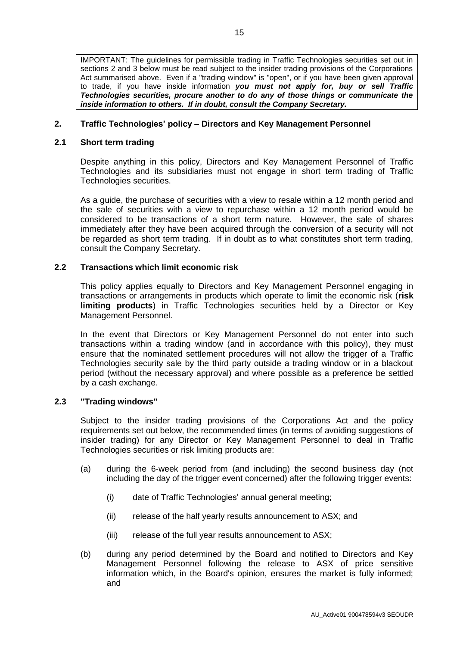IMPORTANT: The guidelines for permissible trading in Traffic Technologies securities set out in sections 2 and 3 below must be read subject to the insider trading provisions of the Corporations Act summarised above. Even if a "trading window" is "open", or if you have been given approval to trade, if you have inside information *you must not apply for, buy or sell Traffic Technologies securities, procure another to do any of those things or communicate the inside information to others. If in doubt, consult the Company Secretary.* 

#### **2. Traffic Technologies' policy – Directors and Key Management Personnel**

#### **2.1 Short term trading**

Despite anything in this policy, Directors and Key Management Personnel of Traffic Technologies and its subsidiaries must not engage in short term trading of Traffic Technologies securities.

As a guide, the purchase of securities with a view to resale within a 12 month period and the sale of securities with a view to repurchase within a 12 month period would be considered to be transactions of a short term nature. However, the sale of shares immediately after they have been acquired through the conversion of a security will not be regarded as short term trading. If in doubt as to what constitutes short term trading, consult the Company Secretary.

#### **2.2 Transactions which limit economic risk**

This policy applies equally to Directors and Key Management Personnel engaging in transactions or arrangements in products which operate to limit the economic risk (**risk limiting products**) in Traffic Technologies securities held by a Director or Key Management Personnel.

In the event that Directors or Key Management Personnel do not enter into such transactions within a trading window (and in accordance with this policy), they must ensure that the nominated settlement procedures will not allow the trigger of a Traffic Technologies security sale by the third party outside a trading window or in a blackout period (without the necessary approval) and where possible as a preference be settled by a cash exchange.

#### **2.3 "Trading windows"**

Subject to the insider trading provisions of the Corporations Act and the policy requirements set out below, the recommended times (in terms of avoiding suggestions of insider trading) for any Director or Key Management Personnel to deal in Traffic Technologies securities or risk limiting products are:

- (a) during the 6-week period from (and including) the second business day (not including the day of the trigger event concerned) after the following trigger events:
	- (i) date of Traffic Technologies' annual general meeting;
	- (ii) release of the half yearly results announcement to ASX; and
	- (iii) release of the full year results announcement to ASX;
- (b) during any period determined by the Board and notified to Directors and Key Management Personnel following the release to ASX of price sensitive information which, in the Board's opinion, ensures the market is fully informed; and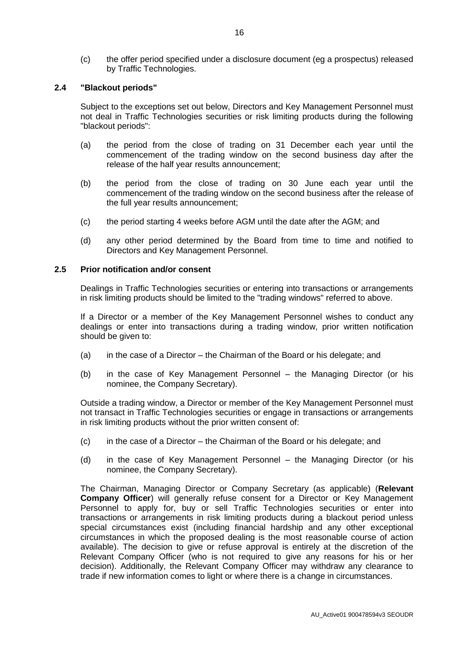(c) the offer period specified under a disclosure document (eg a prospectus) released by Traffic Technologies.

#### **2.4 "Blackout periods"**

Subject to the exceptions set out below, Directors and Key Management Personnel must not deal in Traffic Technologies securities or risk limiting products during the following "blackout periods":

- (a) the period from the close of trading on 31 December each year until the commencement of the trading window on the second business day after the release of the half year results announcement;
- (b) the period from the close of trading on 30 June each year until the commencement of the trading window on the second business after the release of the full year results announcement;
- (c) the period starting 4 weeks before AGM until the date after the AGM; and
- (d) any other period determined by the Board from time to time and notified to Directors and Key Management Personnel.

#### **2.5 Prior notification and/or consent**

Dealings in Traffic Technologies securities or entering into transactions or arrangements in risk limiting products should be limited to the "trading windows" referred to above.

If a Director or a member of the Key Management Personnel wishes to conduct any dealings or enter into transactions during a trading window, prior written notification should be given to:

- (a) in the case of a Director the Chairman of the Board or his delegate; and
- (b) in the case of Key Management Personnel the Managing Director (or his nominee, the Company Secretary).

Outside a trading window, a Director or member of the Key Management Personnel must not transact in Traffic Technologies securities or engage in transactions or arrangements in risk limiting products without the prior written consent of:

- (c) in the case of a Director the Chairman of the Board or his delegate; and
- (d) in the case of Key Management Personnel the Managing Director (or his nominee, the Company Secretary).

The Chairman, Managing Director or Company Secretary (as applicable) (**Relevant Company Officer**) will generally refuse consent for a Director or Key Management Personnel to apply for, buy or sell Traffic Technologies securities or enter into transactions or arrangements in risk limiting products during a blackout period unless special circumstances exist (including financial hardship and any other exceptional circumstances in which the proposed dealing is the most reasonable course of action available). The decision to give or refuse approval is entirely at the discretion of the Relevant Company Officer (who is not required to give any reasons for his or her decision). Additionally, the Relevant Company Officer may withdraw any clearance to trade if new information comes to light or where there is a change in circumstances.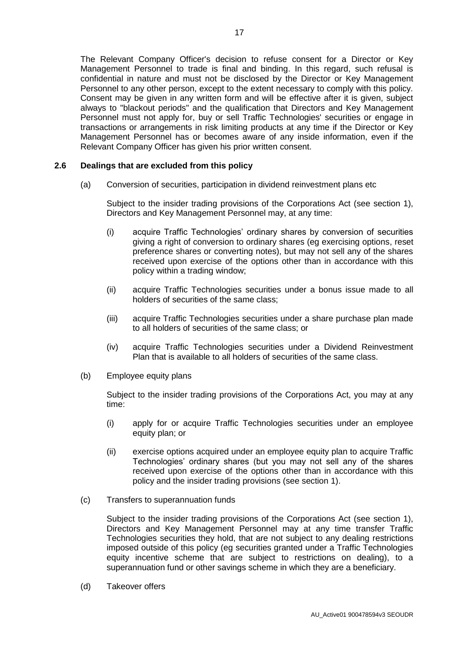The Relevant Company Officer's decision to refuse consent for a Director or Key Management Personnel to trade is final and binding. In this regard, such refusal is confidential in nature and must not be disclosed by the Director or Key Management Personnel to any other person, except to the extent necessary to comply with this policy. Consent may be given in any written form and will be effective after it is given, subject always to "blackout periods" and the qualification that Directors and Key Management Personnel must not apply for, buy or sell Traffic Technologies' securities or engage in transactions or arrangements in risk limiting products at any time if the Director or Key Management Personnel has or becomes aware of any inside information, even if the Relevant Company Officer has given his prior written consent.

#### **2.6 Dealings that are excluded from this policy**

(a) Conversion of securities, participation in dividend reinvestment plans etc

Subject to the insider trading provisions of the Corporations Act (see section 1), Directors and Key Management Personnel may, at any time:

- (i) acquire Traffic Technologies' ordinary shares by conversion of securities giving a right of conversion to ordinary shares (eg exercising options, reset preference shares or converting notes), but may not sell any of the shares received upon exercise of the options other than in accordance with this policy within a trading window;
- (ii) acquire Traffic Technologies securities under a bonus issue made to all holders of securities of the same class;
- (iii) acquire Traffic Technologies securities under a share purchase plan made to all holders of securities of the same class; or
- (iv) acquire Traffic Technologies securities under a Dividend Reinvestment Plan that is available to all holders of securities of the same class.
- (b) Employee equity plans

Subject to the insider trading provisions of the Corporations Act, you may at any time:

- (i) apply for or acquire Traffic Technologies securities under an employee equity plan; or
- (ii) exercise options acquired under an employee equity plan to acquire Traffic Technologies' ordinary shares (but you may not sell any of the shares received upon exercise of the options other than in accordance with this policy and the insider trading provisions (see section 1).
- (c) Transfers to superannuation funds

Subject to the insider trading provisions of the Corporations Act (see section 1), Directors and Key Management Personnel may at any time transfer Traffic Technologies securities they hold, that are not subject to any dealing restrictions imposed outside of this policy (eg securities granted under a Traffic Technologies equity incentive scheme that are subject to restrictions on dealing), to a superannuation fund or other savings scheme in which they are a beneficiary.

(d) Takeover offers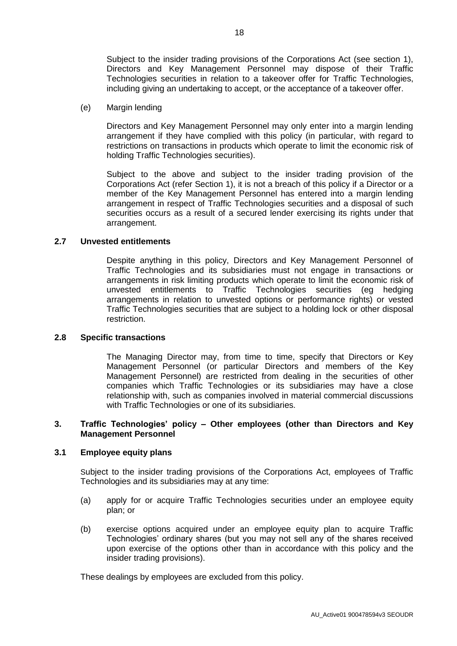Subject to the insider trading provisions of the Corporations Act (see section 1), Directors and Key Management Personnel may dispose of their Traffic Technologies securities in relation to a takeover offer for Traffic Technologies, including giving an undertaking to accept, or the acceptance of a takeover offer.

(e) Margin lending

Directors and Key Management Personnel may only enter into a margin lending arrangement if they have complied with this policy (in particular, with regard to restrictions on transactions in products which operate to limit the economic risk of holding Traffic Technologies securities).

Subject to the above and subject to the insider trading provision of the Corporations Act (refer Section 1), it is not a breach of this policy if a Director or a member of the Key Management Personnel has entered into a margin lending arrangement in respect of Traffic Technologies securities and a disposal of such securities occurs as a result of a secured lender exercising its rights under that arrangement.

#### **2.7 Unvested entitlements**

Despite anything in this policy, Directors and Key Management Personnel of Traffic Technologies and its subsidiaries must not engage in transactions or arrangements in risk limiting products which operate to limit the economic risk of unvested entitlements to Traffic Technologies securities (eg hedging arrangements in relation to unvested options or performance rights) or vested Traffic Technologies securities that are subject to a holding lock or other disposal restriction.

#### **2.8 Specific transactions**

The Managing Director may, from time to time, specify that Directors or Key Management Personnel (or particular Directors and members of the Key Management Personnel) are restricted from dealing in the securities of other companies which Traffic Technologies or its subsidiaries may have a close relationship with, such as companies involved in material commercial discussions with Traffic Technologies or one of its subsidiaries.

#### **3. Traffic Technologies' policy – Other employees (other than Directors and Key Management Personnel**

#### **3.1 Employee equity plans**

Subject to the insider trading provisions of the Corporations Act, employees of Traffic Technologies and its subsidiaries may at any time:

- (a) apply for or acquire Traffic Technologies securities under an employee equity plan; or
- (b) exercise options acquired under an employee equity plan to acquire Traffic Technologies' ordinary shares (but you may not sell any of the shares received upon exercise of the options other than in accordance with this policy and the insider trading provisions).

These dealings by employees are excluded from this policy.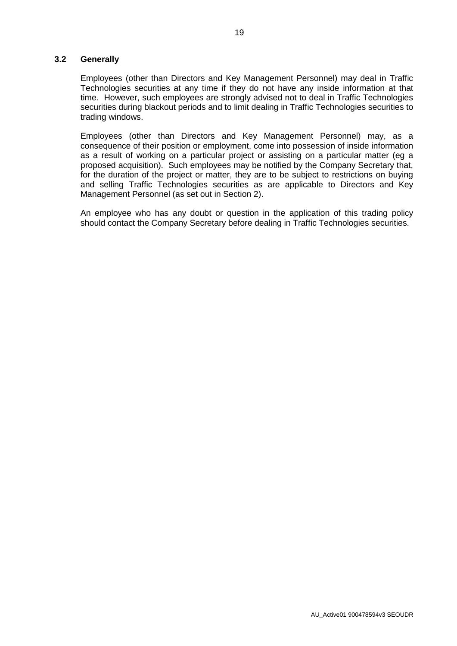#### **3.2 Generally**

Employees (other than Directors and Key Management Personnel) may deal in Traffic Technologies securities at any time if they do not have any inside information at that time. However, such employees are strongly advised not to deal in Traffic Technologies securities during blackout periods and to limit dealing in Traffic Technologies securities to trading windows.

Employees (other than Directors and Key Management Personnel) may, as a consequence of their position or employment, come into possession of inside information as a result of working on a particular project or assisting on a particular matter (eg a proposed acquisition). Such employees may be notified by the Company Secretary that, for the duration of the project or matter, they are to be subject to restrictions on buying and selling Traffic Technologies securities as are applicable to Directors and Key Management Personnel (as set out in Section 2).

An employee who has any doubt or question in the application of this trading policy should contact the Company Secretary before dealing in Traffic Technologies securities.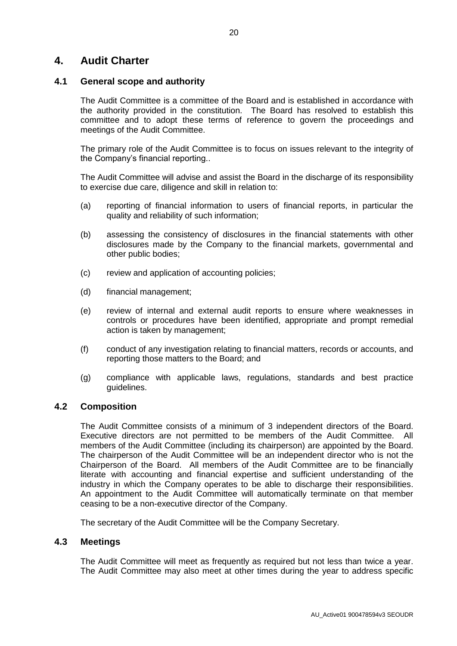# **4. Audit Charter**

#### **4.1 General scope and authority**

The Audit Committee is a committee of the Board and is established in accordance with the authority provided in the constitution. The Board has resolved to establish this committee and to adopt these terms of reference to govern the proceedings and meetings of the Audit Committee.

The primary role of the Audit Committee is to focus on issues relevant to the integrity of the Company's financial reporting..

The Audit Committee will advise and assist the Board in the discharge of its responsibility to exercise due care, diligence and skill in relation to:

- (a) reporting of financial information to users of financial reports, in particular the quality and reliability of such information;
- (b) assessing the consistency of disclosures in the financial statements with other disclosures made by the Company to the financial markets, governmental and other public bodies;
- (c) review and application of accounting policies;
- (d) financial management;
- (e) review of internal and external audit reports to ensure where weaknesses in controls or procedures have been identified, appropriate and prompt remedial action is taken by management;
- (f) conduct of any investigation relating to financial matters, records or accounts, and reporting those matters to the Board; and
- (g) compliance with applicable laws, regulations, standards and best practice guidelines.

#### **4.2 Composition**

The Audit Committee consists of a minimum of 3 independent directors of the Board. Executive directors are not permitted to be members of the Audit Committee. All members of the Audit Committee (including its chairperson) are appointed by the Board. The chairperson of the Audit Committee will be an independent director who is not the Chairperson of the Board. All members of the Audit Committee are to be financially literate with accounting and financial expertise and sufficient understanding of the industry in which the Company operates to be able to discharge their responsibilities. An appointment to the Audit Committee will automatically terminate on that member ceasing to be a non-executive director of the Company.

The secretary of the Audit Committee will be the Company Secretary.

#### **4.3 Meetings**

The Audit Committee will meet as frequently as required but not less than twice a year. The Audit Committee may also meet at other times during the year to address specific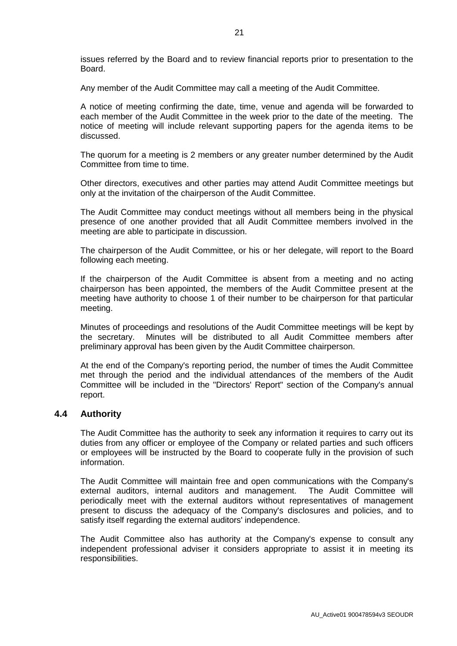issues referred by the Board and to review financial reports prior to presentation to the Board.

Any member of the Audit Committee may call a meeting of the Audit Committee.

A notice of meeting confirming the date, time, venue and agenda will be forwarded to each member of the Audit Committee in the week prior to the date of the meeting. The notice of meeting will include relevant supporting papers for the agenda items to be discussed.

The quorum for a meeting is 2 members or any greater number determined by the Audit Committee from time to time.

Other directors, executives and other parties may attend Audit Committee meetings but only at the invitation of the chairperson of the Audit Committee.

The Audit Committee may conduct meetings without all members being in the physical presence of one another provided that all Audit Committee members involved in the meeting are able to participate in discussion.

The chairperson of the Audit Committee, or his or her delegate, will report to the Board following each meeting.

If the chairperson of the Audit Committee is absent from a meeting and no acting chairperson has been appointed, the members of the Audit Committee present at the meeting have authority to choose 1 of their number to be chairperson for that particular meeting.

Minutes of proceedings and resolutions of the Audit Committee meetings will be kept by the secretary. Minutes will be distributed to all Audit Committee members after preliminary approval has been given by the Audit Committee chairperson.

At the end of the Company's reporting period, the number of times the Audit Committee met through the period and the individual attendances of the members of the Audit Committee will be included in the "Directors' Report" section of the Company's annual report.

#### **4.4 Authority**

The Audit Committee has the authority to seek any information it requires to carry out its duties from any officer or employee of the Company or related parties and such officers or employees will be instructed by the Board to cooperate fully in the provision of such information.

The Audit Committee will maintain free and open communications with the Company's external auditors, internal auditors and management. The Audit Committee will periodically meet with the external auditors without representatives of management present to discuss the adequacy of the Company's disclosures and policies, and to satisfy itself regarding the external auditors' independence.

The Audit Committee also has authority at the Company's expense to consult any independent professional adviser it considers appropriate to assist it in meeting its responsibilities.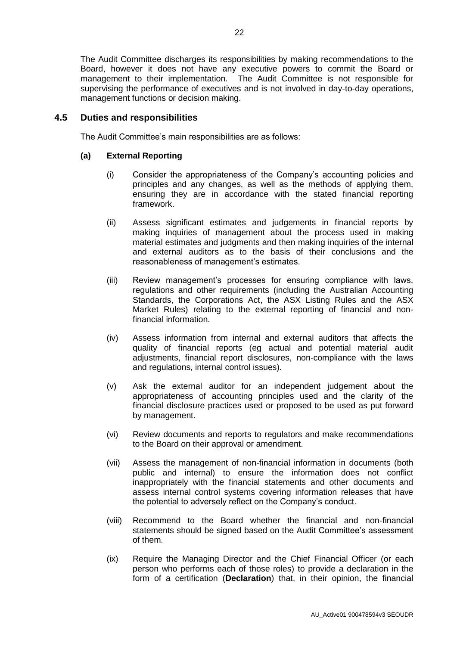The Audit Committee discharges its responsibilities by making recommendations to the Board, however it does not have any executive powers to commit the Board or management to their implementation. The Audit Committee is not responsible for supervising the performance of executives and is not involved in day-to-day operations, management functions or decision making.

#### **4.5 Duties and responsibilities**

The Audit Committee's main responsibilities are as follows:

#### **(a) External Reporting**

- (i) Consider the appropriateness of the Company's accounting policies and principles and any changes, as well as the methods of applying them, ensuring they are in accordance with the stated financial reporting framework.
- (ii) Assess significant estimates and judgements in financial reports by making inquiries of management about the process used in making material estimates and judgments and then making inquiries of the internal and external auditors as to the basis of their conclusions and the reasonableness of management's estimates.
- (iii) Review management's processes for ensuring compliance with laws, regulations and other requirements (including the Australian Accounting Standards, the Corporations Act, the ASX Listing Rules and the ASX Market Rules) relating to the external reporting of financial and nonfinancial information.
- (iv) Assess information from internal and external auditors that affects the quality of financial reports (eg actual and potential material audit adjustments, financial report disclosures, non-compliance with the laws and regulations, internal control issues).
- (v) Ask the external auditor for an independent judgement about the appropriateness of accounting principles used and the clarity of the financial disclosure practices used or proposed to be used as put forward by management.
- (vi) Review documents and reports to regulators and make recommendations to the Board on their approval or amendment.
- (vii) Assess the management of non-financial information in documents (both public and internal) to ensure the information does not conflict inappropriately with the financial statements and other documents and assess internal control systems covering information releases that have the potential to adversely reflect on the Company's conduct.
- (viii) Recommend to the Board whether the financial and non-financial statements should be signed based on the Audit Committee's assessment of them.
- (ix) Require the Managing Director and the Chief Financial Officer (or each person who performs each of those roles) to provide a declaration in the form of a certification (**Declaration**) that, in their opinion, the financial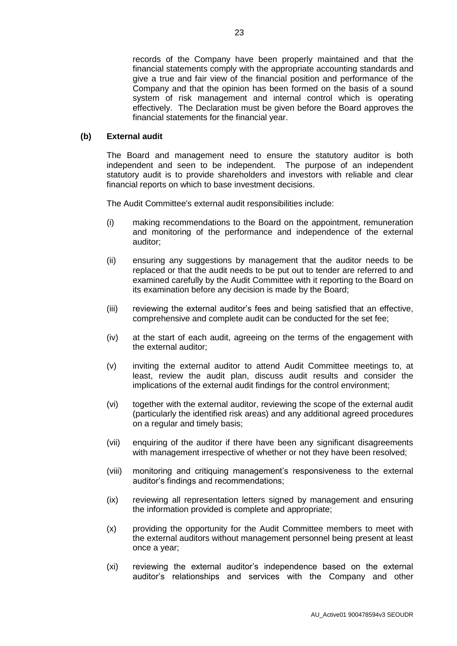records of the Company have been properly maintained and that the financial statements comply with the appropriate accounting standards and give a true and fair view of the financial position and performance of the Company and that the opinion has been formed on the basis of a sound system of risk management and internal control which is operating effectively. The Declaration must be given before the Board approves the financial statements for the financial year.

#### **(b) External audit**

The Board and management need to ensure the statutory auditor is both independent and seen to be independent. The purpose of an independent statutory audit is to provide shareholders and investors with reliable and clear financial reports on which to base investment decisions.

The Audit Committee's external audit responsibilities include:

- (i) making recommendations to the Board on the appointment, remuneration and monitoring of the performance and independence of the external auditor;
- (ii) ensuring any suggestions by management that the auditor needs to be replaced or that the audit needs to be put out to tender are referred to and examined carefully by the Audit Committee with it reporting to the Board on its examination before any decision is made by the Board;
- (iii) reviewing the external auditor's fees and being satisfied that an effective, comprehensive and complete audit can be conducted for the set fee;
- (iv) at the start of each audit, agreeing on the terms of the engagement with the external auditor;
- (v) inviting the external auditor to attend Audit Committee meetings to, at least, review the audit plan, discuss audit results and consider the implications of the external audit findings for the control environment;
- (vi) together with the external auditor, reviewing the scope of the external audit (particularly the identified risk areas) and any additional agreed procedures on a regular and timely basis;
- (vii) enquiring of the auditor if there have been any significant disagreements with management irrespective of whether or not they have been resolved;
- (viii) monitoring and critiquing management's responsiveness to the external auditor's findings and recommendations;
- (ix) reviewing all representation letters signed by management and ensuring the information provided is complete and appropriate;
- (x) providing the opportunity for the Audit Committee members to meet with the external auditors without management personnel being present at least once a year;
- (xi) reviewing the external auditor's independence based on the external auditor's relationships and services with the Company and other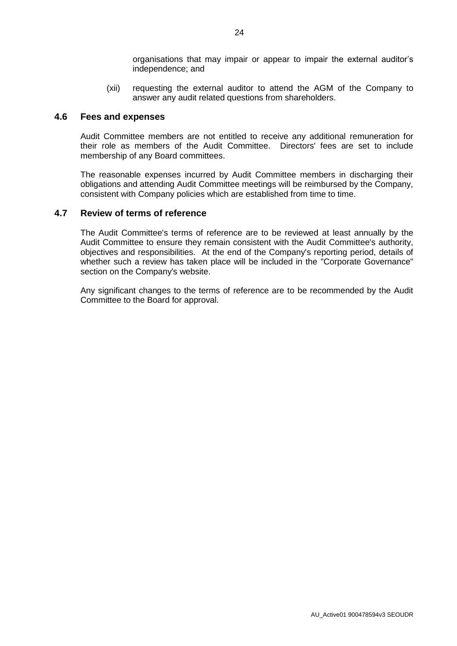organisations that may impair or appear to impair the external auditor's independence; and

(xii) requesting the external auditor to attend the AGM of the Company to answer any audit related questions from shareholders.

#### **4.6 Fees and expenses**

Audit Committee members are not entitled to receive any additional remuneration for their role as members of the Audit Committee. Directors' fees are set to include membership of any Board committees.

The reasonable expenses incurred by Audit Committee members in discharging their obligations and attending Audit Committee meetings will be reimbursed by the Company, consistent with Company policies which are established from time to time.

#### **4.7 Review of terms of reference**

The Audit Committee's terms of reference are to be reviewed at least annually by the Audit Committee to ensure they remain consistent with the Audit Committee's authority, objectives and responsibilities. At the end of the Company's reporting period, details of whether such a review has taken place will be included in the "Corporate Governance" section on the Company's website.

Any significant changes to the terms of reference are to be recommended by the Audit Committee to the Board for approval.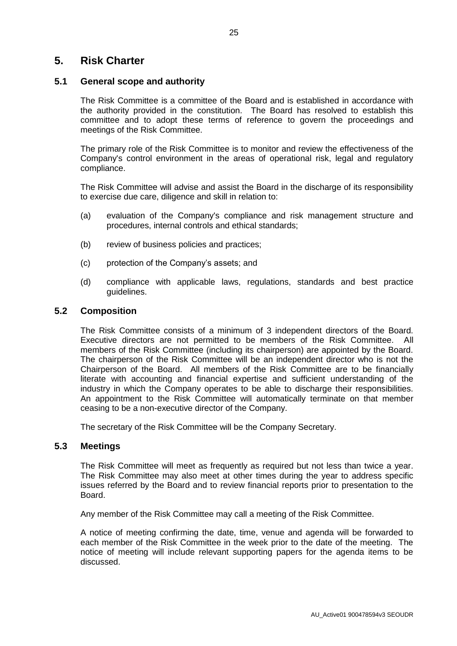# **5. Risk Charter**

#### **5.1 General scope and authority**

The Risk Committee is a committee of the Board and is established in accordance with the authority provided in the constitution. The Board has resolved to establish this committee and to adopt these terms of reference to govern the proceedings and meetings of the Risk Committee.

The primary role of the Risk Committee is to monitor and review the effectiveness of the Company's control environment in the areas of operational risk, legal and regulatory compliance.

The Risk Committee will advise and assist the Board in the discharge of its responsibility to exercise due care, diligence and skill in relation to:

- (a) evaluation of the Company's compliance and risk management structure and procedures, internal controls and ethical standards;
- (b) review of business policies and practices;
- (c) protection of the Company's assets; and
- (d) compliance with applicable laws, regulations, standards and best practice guidelines.

#### **5.2 Composition**

The Risk Committee consists of a minimum of 3 independent directors of the Board. Executive directors are not permitted to be members of the Risk Committee. All members of the Risk Committee (including its chairperson) are appointed by the Board. The chairperson of the Risk Committee will be an independent director who is not the Chairperson of the Board. All members of the Risk Committee are to be financially literate with accounting and financial expertise and sufficient understanding of the industry in which the Company operates to be able to discharge their responsibilities. An appointment to the Risk Committee will automatically terminate on that member ceasing to be a non-executive director of the Company.

The secretary of the Risk Committee will be the Company Secretary.

#### **5.3 Meetings**

The Risk Committee will meet as frequently as required but not less than twice a year. The Risk Committee may also meet at other times during the year to address specific issues referred by the Board and to review financial reports prior to presentation to the Board.

Any member of the Risk Committee may call a meeting of the Risk Committee.

A notice of meeting confirming the date, time, venue and agenda will be forwarded to each member of the Risk Committee in the week prior to the date of the meeting. The notice of meeting will include relevant supporting papers for the agenda items to be discussed.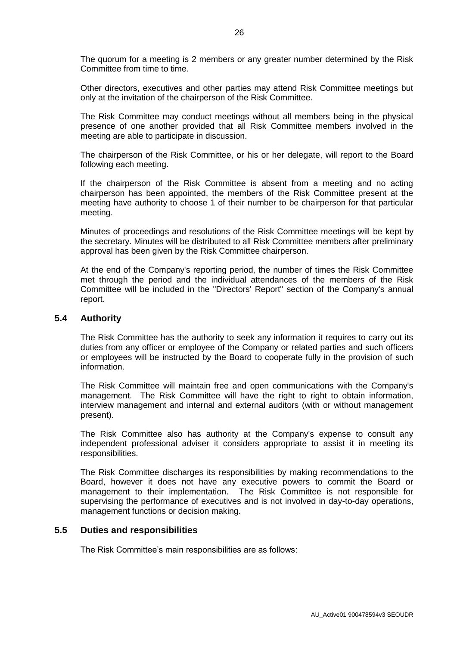The quorum for a meeting is 2 members or any greater number determined by the Risk Committee from time to time.

Other directors, executives and other parties may attend Risk Committee meetings but only at the invitation of the chairperson of the Risk Committee.

The Risk Committee may conduct meetings without all members being in the physical presence of one another provided that all Risk Committee members involved in the meeting are able to participate in discussion.

The chairperson of the Risk Committee, or his or her delegate, will report to the Board following each meeting.

If the chairperson of the Risk Committee is absent from a meeting and no acting chairperson has been appointed, the members of the Risk Committee present at the meeting have authority to choose 1 of their number to be chairperson for that particular meeting.

Minutes of proceedings and resolutions of the Risk Committee meetings will be kept by the secretary. Minutes will be distributed to all Risk Committee members after preliminary approval has been given by the Risk Committee chairperson.

At the end of the Company's reporting period, the number of times the Risk Committee met through the period and the individual attendances of the members of the Risk Committee will be included in the "Directors' Report" section of the Company's annual report.

#### **5.4 Authority**

The Risk Committee has the authority to seek any information it requires to carry out its duties from any officer or employee of the Company or related parties and such officers or employees will be instructed by the Board to cooperate fully in the provision of such information.

The Risk Committee will maintain free and open communications with the Company's management. The Risk Committee will have the right to right to obtain information, interview management and internal and external auditors (with or without management present).

The Risk Committee also has authority at the Company's expense to consult any independent professional adviser it considers appropriate to assist it in meeting its responsibilities.

The Risk Committee discharges its responsibilities by making recommendations to the Board, however it does not have any executive powers to commit the Board or management to their implementation. The Risk Committee is not responsible for supervising the performance of executives and is not involved in day-to-day operations, management functions or decision making.

#### **5.5 Duties and responsibilities**

The Risk Committee's main responsibilities are as follows: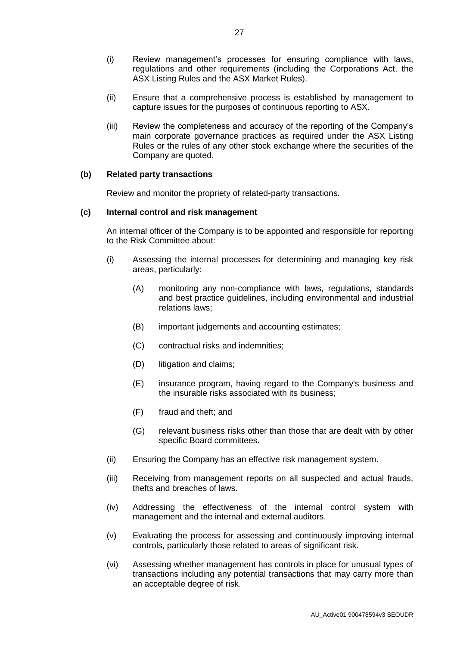- (i) Review management's processes for ensuring compliance with laws, regulations and other requirements (including the Corporations Act, the ASX Listing Rules and the ASX Market Rules).
- (ii) Ensure that a comprehensive process is established by management to capture issues for the purposes of continuous reporting to ASX.
- (iii) Review the completeness and accuracy of the reporting of the Company's main corporate governance practices as required under the ASX Listing Rules or the rules of any other stock exchange where the securities of the Company are quoted.

#### **(b) Related party transactions**

Review and monitor the propriety of related-party transactions.

#### **(c) Internal control and risk management**

An internal officer of the Company is to be appointed and responsible for reporting to the Risk Committee about:

- (i) Assessing the internal processes for determining and managing key risk areas, particularly:
	- (A) monitoring any non-compliance with laws, regulations, standards and best practice guidelines, including environmental and industrial relations laws;
	- (B) important judgements and accounting estimates;
	- (C) contractual risks and indemnities;
	- (D) litigation and claims;
	- (E) insurance program, having regard to the Company's business and the insurable risks associated with its business;
	- (F) fraud and theft; and
	- (G) relevant business risks other than those that are dealt with by other specific Board committees.
- (ii) Ensuring the Company has an effective risk management system.
- (iii) Receiving from management reports on all suspected and actual frauds, thefts and breaches of laws.
- (iv) Addressing the effectiveness of the internal control system with management and the internal and external auditors.
- (v) Evaluating the process for assessing and continuously improving internal controls, particularly those related to areas of significant risk.
- (vi) Assessing whether management has controls in place for unusual types of transactions including any potential transactions that may carry more than an acceptable degree of risk.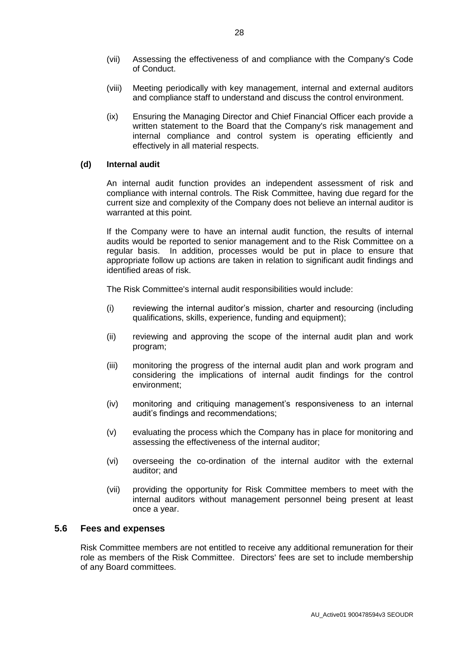- (vii) Assessing the effectiveness of and compliance with the Company's Code of Conduct.
- (viii) Meeting periodically with key management, internal and external auditors and compliance staff to understand and discuss the control environment.
- (ix) Ensuring the Managing Director and Chief Financial Officer each provide a written statement to the Board that the Company's risk management and internal compliance and control system is operating efficiently and effectively in all material respects.

#### **(d) Internal audit**

An internal audit function provides an independent assessment of risk and compliance with internal controls. The Risk Committee, having due regard for the current size and complexity of the Company does not believe an internal auditor is warranted at this point.

If the Company were to have an internal audit function, the results of internal audits would be reported to senior management and to the Risk Committee on a regular basis. In addition, processes would be put in place to ensure that appropriate follow up actions are taken in relation to significant audit findings and identified areas of risk.

The Risk Committee's internal audit responsibilities would include:

- (i) reviewing the internal auditor's mission, charter and resourcing (including qualifications, skills, experience, funding and equipment);
- (ii) reviewing and approving the scope of the internal audit plan and work program;
- (iii) monitoring the progress of the internal audit plan and work program and considering the implications of internal audit findings for the control environment;
- (iv) monitoring and critiquing management's responsiveness to an internal audit's findings and recommendations;
- (v) evaluating the process which the Company has in place for monitoring and assessing the effectiveness of the internal auditor;
- (vi) overseeing the co-ordination of the internal auditor with the external auditor; and
- (vii) providing the opportunity for Risk Committee members to meet with the internal auditors without management personnel being present at least once a year.

#### **5.6 Fees and expenses**

Risk Committee members are not entitled to receive any additional remuneration for their role as members of the Risk Committee. Directors' fees are set to include membership of any Board committees.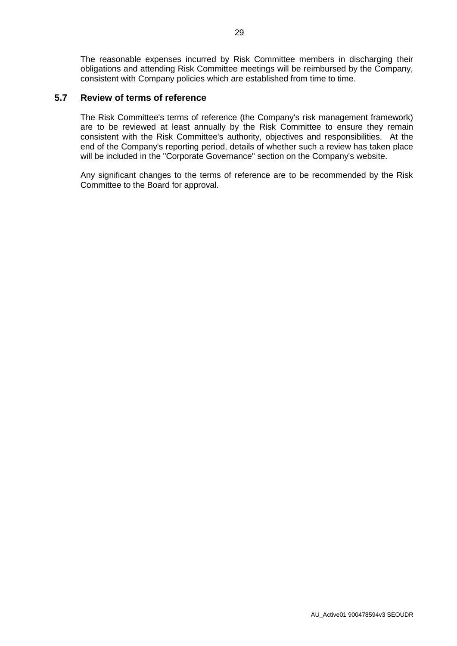The reasonable expenses incurred by Risk Committee members in discharging their obligations and attending Risk Committee meetings will be reimbursed by the Company, consistent with Company policies which are established from time to time.

#### **5.7 Review of terms of reference**

The Risk Committee's terms of reference (the Company's risk management framework) are to be reviewed at least annually by the Risk Committee to ensure they remain consistent with the Risk Committee's authority, objectives and responsibilities. At the end of the Company's reporting period, details of whether such a review has taken place will be included in the "Corporate Governance" section on the Company's website.

Any significant changes to the terms of reference are to be recommended by the Risk Committee to the Board for approval.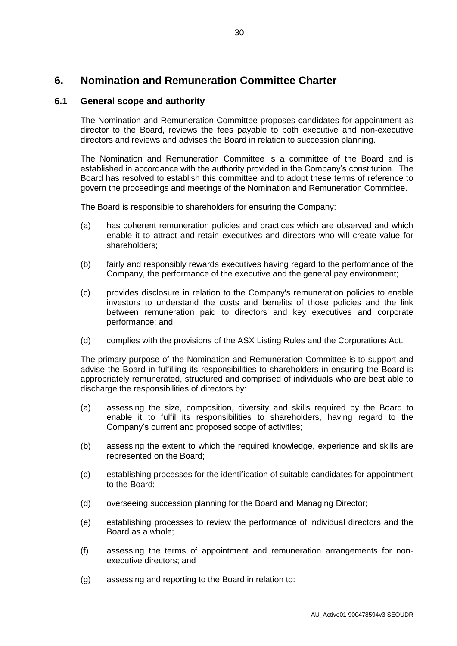# **6. Nomination and Remuneration Committee Charter**

#### **6.1 General scope and authority**

The Nomination and Remuneration Committee proposes candidates for appointment as director to the Board, reviews the fees payable to both executive and non-executive directors and reviews and advises the Board in relation to succession planning.

The Nomination and Remuneration Committee is a committee of the Board and is established in accordance with the authority provided in the Company's constitution. The Board has resolved to establish this committee and to adopt these terms of reference to govern the proceedings and meetings of the Nomination and Remuneration Committee.

The Board is responsible to shareholders for ensuring the Company:

- (a) has coherent remuneration policies and practices which are observed and which enable it to attract and retain executives and directors who will create value for shareholders;
- (b) fairly and responsibly rewards executives having regard to the performance of the Company, the performance of the executive and the general pay environment;
- (c) provides disclosure in relation to the Company's remuneration policies to enable investors to understand the costs and benefits of those policies and the link between remuneration paid to directors and key executives and corporate performance; and
- (d) complies with the provisions of the ASX Listing Rules and the Corporations Act.

The primary purpose of the Nomination and Remuneration Committee is to support and advise the Board in fulfilling its responsibilities to shareholders in ensuring the Board is appropriately remunerated, structured and comprised of individuals who are best able to discharge the responsibilities of directors by:

- (a) assessing the size, composition, diversity and skills required by the Board to enable it to fulfil its responsibilities to shareholders, having regard to the Company's current and proposed scope of activities;
- (b) assessing the extent to which the required knowledge, experience and skills are represented on the Board;
- (c) establishing processes for the identification of suitable candidates for appointment to the Board;
- (d) overseeing succession planning for the Board and Managing Director;
- (e) establishing processes to review the performance of individual directors and the Board as a whole;
- (f) assessing the terms of appointment and remuneration arrangements for nonexecutive directors; and
- (g) assessing and reporting to the Board in relation to: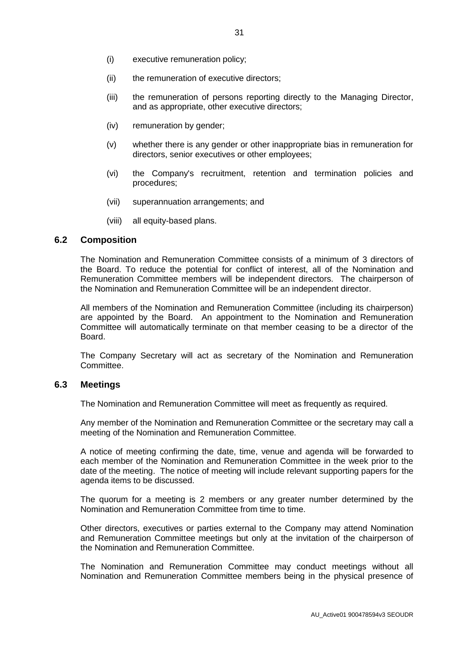- (i) executive remuneration policy;
- (ii) the remuneration of executive directors;
- (iii) the remuneration of persons reporting directly to the Managing Director, and as appropriate, other executive directors;
- (iv) remuneration by gender;
- (v) whether there is any gender or other inappropriate bias in remuneration for directors, senior executives or other employees;
- (vi) the Company's recruitment, retention and termination policies and procedures;
- (vii) superannuation arrangements; and
- (viii) all equity-based plans.

#### **6.2 Composition**

The Nomination and Remuneration Committee consists of a minimum of 3 directors of the Board. To reduce the potential for conflict of interest, all of the Nomination and Remuneration Committee members will be independent directors. The chairperson of the Nomination and Remuneration Committee will be an independent director.

All members of the Nomination and Remuneration Committee (including its chairperson) are appointed by the Board. An appointment to the Nomination and Remuneration Committee will automatically terminate on that member ceasing to be a director of the **Board** 

The Company Secretary will act as secretary of the Nomination and Remuneration Committee.

#### **6.3 Meetings**

The Nomination and Remuneration Committee will meet as frequently as required.

Any member of the Nomination and Remuneration Committee or the secretary may call a meeting of the Nomination and Remuneration Committee.

A notice of meeting confirming the date, time, venue and agenda will be forwarded to each member of the Nomination and Remuneration Committee in the week prior to the date of the meeting. The notice of meeting will include relevant supporting papers for the agenda items to be discussed.

The quorum for a meeting is 2 members or any greater number determined by the Nomination and Remuneration Committee from time to time.

Other directors, executives or parties external to the Company may attend Nomination and Remuneration Committee meetings but only at the invitation of the chairperson of the Nomination and Remuneration Committee.

The Nomination and Remuneration Committee may conduct meetings without all Nomination and Remuneration Committee members being in the physical presence of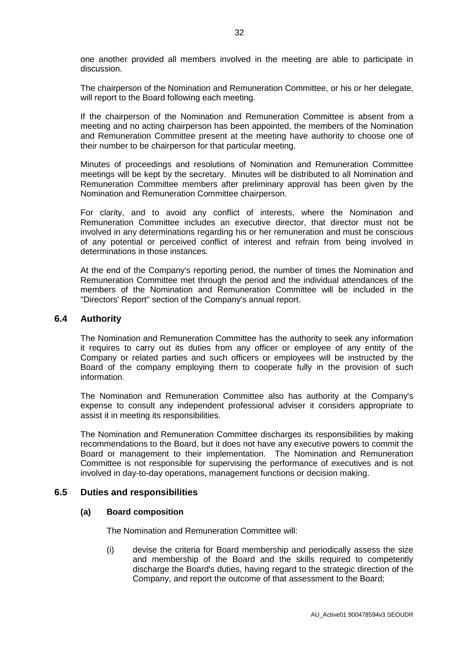one another provided all members involved in the meeting are able to participate in discussion.

The chairperson of the Nomination and Remuneration Committee, or his or her delegate, will report to the Board following each meeting.

If the chairperson of the Nomination and Remuneration Committee is absent from a meeting and no acting chairperson has been appointed, the members of the Nomination and Remuneration Committee present at the meeting have authority to choose one of their number to be chairperson for that particular meeting.

Minutes of proceedings and resolutions of Nomination and Remuneration Committee meetings will be kept by the secretary. Minutes will be distributed to all Nomination and Remuneration Committee members after preliminary approval has been given by the Nomination and Remuneration Committee chairperson.

For clarity, and to avoid any conflict of interests, where the Nomination and Remuneration Committee includes an executive director, that director must not be involved in any determinations regarding his or her remuneration and must be conscious of any potential or perceived conflict of interest and refrain from being involved in determinations in those instances.

At the end of the Company's reporting period, the number of times the Nomination and Remuneration Committee met through the period and the individual attendances of the members of the Nomination and Remuneration Committee will be included in the "Directors' Report" section of the Company's annual report.

#### **6.4 Authority**

The Nomination and Remuneration Committee has the authority to seek any information it requires to carry out its duties from any officer or employee of any entity of the Company or related parties and such officers or employees will be instructed by the Board of the company employing them to cooperate fully in the provision of such information.

The Nomination and Remuneration Committee also has authority at the Company's expense to consult any independent professional adviser it considers appropriate to assist it in meeting its responsibilities.

The Nomination and Remuneration Committee discharges its responsibilities by making recommendations to the Board, but it does not have any executive powers to commit the Board or management to their implementation. The Nomination and Remuneration Committee is not responsible for supervising the performance of executives and is not involved in day-to-day operations, management functions or decision making.

#### **6.5 Duties and responsibilities**

#### **(a) Board composition**

The Nomination and Remuneration Committee will:

(i) devise the criteria for Board membership and periodically assess the size and membership of the Board and the skills required to competently discharge the Board's duties, having regard to the strategic direction of the Company, and report the outcome of that assessment to the Board;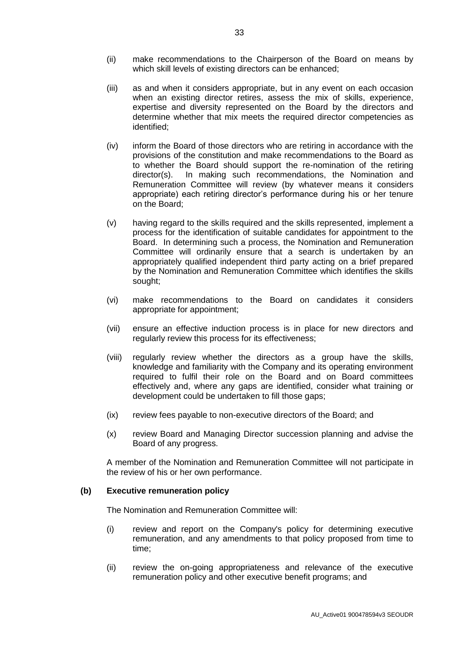- (ii) make recommendations to the Chairperson of the Board on means by which skill levels of existing directors can be enhanced;
- (iii) as and when it considers appropriate, but in any event on each occasion when an existing director retires, assess the mix of skills, experience, expertise and diversity represented on the Board by the directors and determine whether that mix meets the required director competencies as identified;
- (iv) inform the Board of those directors who are retiring in accordance with the provisions of the constitution and make recommendations to the Board as to whether the Board should support the re-nomination of the retiring director(s). In making such recommendations, the Nomination and Remuneration Committee will review (by whatever means it considers appropriate) each retiring director's performance during his or her tenure on the Board;
- (v) having regard to the skills required and the skills represented, implement a process for the identification of suitable candidates for appointment to the Board. In determining such a process, the Nomination and Remuneration Committee will ordinarily ensure that a search is undertaken by an appropriately qualified independent third party acting on a brief prepared by the Nomination and Remuneration Committee which identifies the skills sought;
- (vi) make recommendations to the Board on candidates it considers appropriate for appointment;
- (vii) ensure an effective induction process is in place for new directors and regularly review this process for its effectiveness;
- (viii) regularly review whether the directors as a group have the skills, knowledge and familiarity with the Company and its operating environment required to fulfil their role on the Board and on Board committees effectively and, where any gaps are identified, consider what training or development could be undertaken to fill those gaps;
- (ix) review fees payable to non-executive directors of the Board; and
- (x) review Board and Managing Director succession planning and advise the Board of any progress.

A member of the Nomination and Remuneration Committee will not participate in the review of his or her own performance.

#### **(b) Executive remuneration policy**

The Nomination and Remuneration Committee will:

- (i) review and report on the Company's policy for determining executive remuneration, and any amendments to that policy proposed from time to time;
- (ii) review the on-going appropriateness and relevance of the executive remuneration policy and other executive benefit programs; and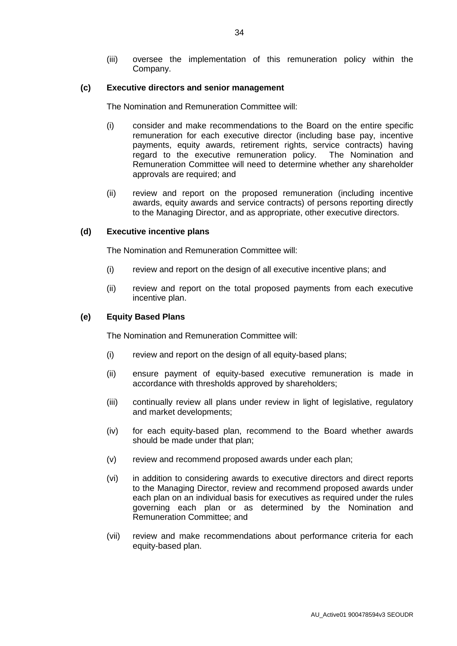(iii) oversee the implementation of this remuneration policy within the Company.

#### **(c) Executive directors and senior management**

The Nomination and Remuneration Committee will:

- (i) consider and make recommendations to the Board on the entire specific remuneration for each executive director (including base pay, incentive payments, equity awards, retirement rights, service contracts) having regard to the executive remuneration policy. The Nomination and Remuneration Committee will need to determine whether any shareholder approvals are required; and
- (ii) review and report on the proposed remuneration (including incentive awards, equity awards and service contracts) of persons reporting directly to the Managing Director, and as appropriate, other executive directors.

#### **(d) Executive incentive plans**

The Nomination and Remuneration Committee will:

- (i) review and report on the design of all executive incentive plans; and
- (ii) review and report on the total proposed payments from each executive incentive plan.

#### **(e) Equity Based Plans**

The Nomination and Remuneration Committee will:

- (i) review and report on the design of all equity-based plans;
- (ii) ensure payment of equity-based executive remuneration is made in accordance with thresholds approved by shareholders;
- (iii) continually review all plans under review in light of legislative, regulatory and market developments;
- (iv) for each equity-based plan, recommend to the Board whether awards should be made under that plan;
- (v) review and recommend proposed awards under each plan;
- (vi) in addition to considering awards to executive directors and direct reports to the Managing Director, review and recommend proposed awards under each plan on an individual basis for executives as required under the rules governing each plan or as determined by the Nomination and Remuneration Committee; and
- (vii) review and make recommendations about performance criteria for each equity-based plan.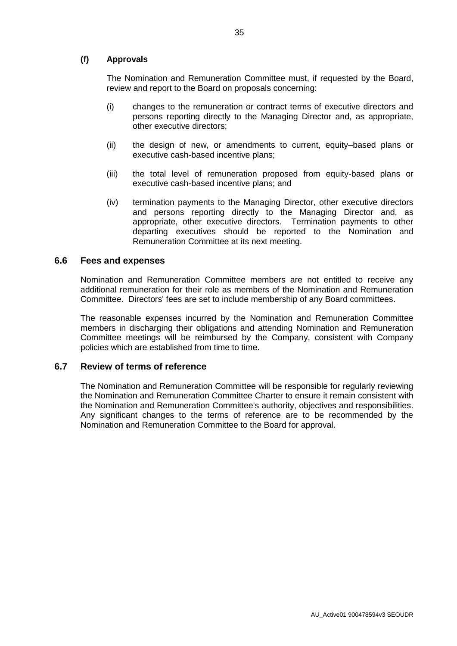#### **(f) Approvals**

The Nomination and Remuneration Committee must, if requested by the Board, review and report to the Board on proposals concerning:

- (i) changes to the remuneration or contract terms of executive directors and persons reporting directly to the Managing Director and, as appropriate, other executive directors;
- (ii) the design of new, or amendments to current, equity–based plans or executive cash-based incentive plans;
- (iii) the total level of remuneration proposed from equity-based plans or executive cash-based incentive plans; and
- (iv) termination payments to the Managing Director, other executive directors and persons reporting directly to the Managing Director and, as appropriate, other executive directors. Termination payments to other departing executives should be reported to the Nomination and Remuneration Committee at its next meeting.

#### **6.6 Fees and expenses**

Nomination and Remuneration Committee members are not entitled to receive any additional remuneration for their role as members of the Nomination and Remuneration Committee. Directors' fees are set to include membership of any Board committees.

The reasonable expenses incurred by the Nomination and Remuneration Committee members in discharging their obligations and attending Nomination and Remuneration Committee meetings will be reimbursed by the Company, consistent with Company policies which are established from time to time.

#### **6.7 Review of terms of reference**

The Nomination and Remuneration Committee will be responsible for regularly reviewing the Nomination and Remuneration Committee Charter to ensure it remain consistent with the Nomination and Remuneration Committee's authority, objectives and responsibilities. Any significant changes to the terms of reference are to be recommended by the Nomination and Remuneration Committee to the Board for approval.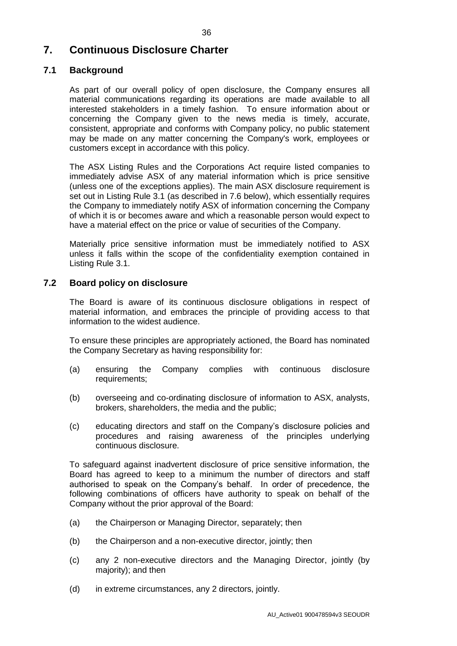# <span id="page-38-0"></span>**7. Continuous Disclosure Charter**

#### **7.1 Background**

As part of our overall policy of open disclosure, the Company ensures all material communications regarding its operations are made available to all interested stakeholders in a timely fashion. To ensure information about or concerning the Company given to the news media is timely, accurate, consistent, appropriate and conforms with Company policy, no public statement may be made on any matter concerning the Company's work, employees or customers except in accordance with this policy.

The ASX Listing Rules and the Corporations Act require listed companies to immediately advise ASX of any material information which is price sensitive (unless one of the exceptions applies). The main ASX disclosure requirement is set out in Listing Rule 3.1 (as described in [7.6](#page-40-0) below), which essentially requires the Company to immediately notify ASX of information concerning the Company of which it is or becomes aware and which a reasonable person would expect to have a material effect on the price or value of securities of the Company.

Materially price sensitive information must be immediately notified to ASX unless it falls within the scope of the confidentiality exemption contained in Listing Rule 3.1.

#### **7.2 Board policy on disclosure**

The Board is aware of its continuous disclosure obligations in respect of material information, and embraces the principle of providing access to that information to the widest audience.

To ensure these principles are appropriately actioned, the Board has nominated the Company Secretary as having responsibility for:

- (a) ensuring the Company complies with continuous disclosure requirements;
- (b) overseeing and co-ordinating disclosure of information to ASX, analysts, brokers, shareholders, the media and the public;
- (c) educating directors and staff on the Company's disclosure policies and procedures and raising awareness of the principles underlying continuous disclosure.

To safeguard against inadvertent disclosure of price sensitive information, the Board has agreed to keep to a minimum the number of directors and staff authorised to speak on the Company's behalf. In order of precedence, the following combinations of officers have authority to speak on behalf of the Company without the prior approval of the Board:

- (a) the Chairperson or Managing Director, separately; then
- (b) the Chairperson and a non-executive director, jointly; then
- (c) any 2 non-executive directors and the Managing Director, jointly (by majority); and then
- (d) in extreme circumstances, any 2 directors, jointly.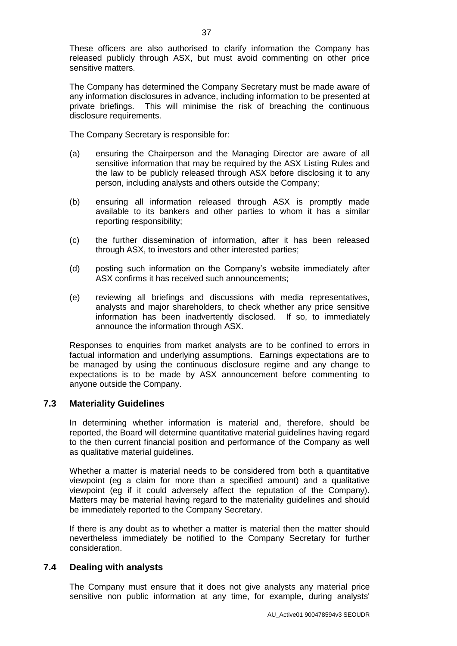These officers are also authorised to clarify information the Company has released publicly through ASX, but must avoid commenting on other price sensitive matters.

The Company has determined the Company Secretary must be made aware of any information disclosures in advance, including information to be presented at private briefings. This will minimise the risk of breaching the continuous disclosure requirements.

The Company Secretary is responsible for:

- (a) ensuring the Chairperson and the Managing Director are aware of all sensitive information that may be required by the ASX Listing Rules and the law to be publicly released through ASX before disclosing it to any person, including analysts and others outside the Company;
- (b) ensuring all information released through ASX is promptly made available to its bankers and other parties to whom it has a similar reporting responsibility;
- (c) the further dissemination of information, after it has been released through ASX, to investors and other interested parties;
- (d) posting such information on the Company's website immediately after ASX confirms it has received such announcements;
- (e) reviewing all briefings and discussions with media representatives, analysts and major shareholders, to check whether any price sensitive information has been inadvertently disclosed. If so, to immediately announce the information through ASX.

Responses to enquiries from market analysts are to be confined to errors in factual information and underlying assumptions. Earnings expectations are to be managed by using the continuous disclosure regime and any change to expectations is to be made by ASX announcement before commenting to anyone outside the Company.

#### **7.3 Materiality Guidelines**

In determining whether information is material and, therefore, should be reported, the Board will determine quantitative material guidelines having regard to the then current financial position and performance of the Company as well as qualitative material guidelines.

Whether a matter is material needs to be considered from both a quantitative viewpoint (eg a claim for more than a specified amount) and a qualitative viewpoint (eg if it could adversely affect the reputation of the Company). Matters may be material having regard to the materiality guidelines and should be immediately reported to the Company Secretary.

If there is any doubt as to whether a matter is material then the matter should nevertheless immediately be notified to the Company Secretary for further consideration.

#### **7.4 Dealing with analysts**

The Company must ensure that it does not give analysts any material price sensitive non public information at any time, for example, during analysts'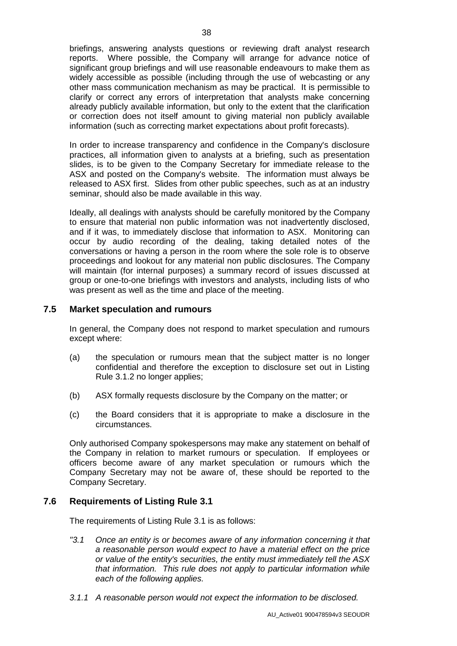briefings, answering analysts questions or reviewing draft analyst research reports. Where possible, the Company will arrange for advance notice of significant group briefings and will use reasonable endeavours to make them as widely accessible as possible (including through the use of webcasting or any other mass communication mechanism as may be practical. It is permissible to clarify or correct any errors of interpretation that analysts make concerning already publicly available information, but only to the extent that the clarification or correction does not itself amount to giving material non publicly available information (such as correcting market expectations about profit forecasts).

In order to increase transparency and confidence in the Company's disclosure practices, all information given to analysts at a briefing, such as presentation slides, is to be given to the Company Secretary for immediate release to the ASX and posted on the Company's website. The information must always be released to ASX first. Slides from other public speeches, such as at an industry seminar, should also be made available in this way.

Ideally, all dealings with analysts should be carefully monitored by the Company to ensure that material non public information was not inadvertently disclosed, and if it was, to immediately disclose that information to ASX. Monitoring can occur by audio recording of the dealing, taking detailed notes of the conversations or having a person in the room where the sole role is to observe proceedings and lookout for any material non public disclosures. The Company will maintain (for internal purposes) a summary record of issues discussed at group or one-to-one briefings with investors and analysts, including lists of who was present as well as the time and place of the meeting.

#### **7.5 Market speculation and rumours**

In general, the Company does not respond to market speculation and rumours except where:

- (a) the speculation or rumours mean that the subject matter is no longer confidential and therefore the exception to disclosure set out in Listing Rule 3.1.2 no longer applies;
- (b) ASX formally requests disclosure by the Company on the matter; or
- (c) the Board considers that it is appropriate to make a disclosure in the circumstances.

Only authorised Company spokespersons may make any statement on behalf of the Company in relation to market rumours or speculation. If employees or officers become aware of any market speculation or rumours which the Company Secretary may not be aware of, these should be reported to the Company Secretary.

#### <span id="page-40-0"></span>**7.6 Requirements of Listing Rule 3.1**

The requirements of Listing Rule 3.1 is as follows:

- *"3.1 Once an entity is or becomes aware of any information concerning it that a reasonable person would expect to have a material effect on the price or value of the entity's securities, the entity must immediately tell the ASX that information. This rule does not apply to particular information while each of the following applies.*
- *3.1.1 A reasonable person would not expect the information to be disclosed.*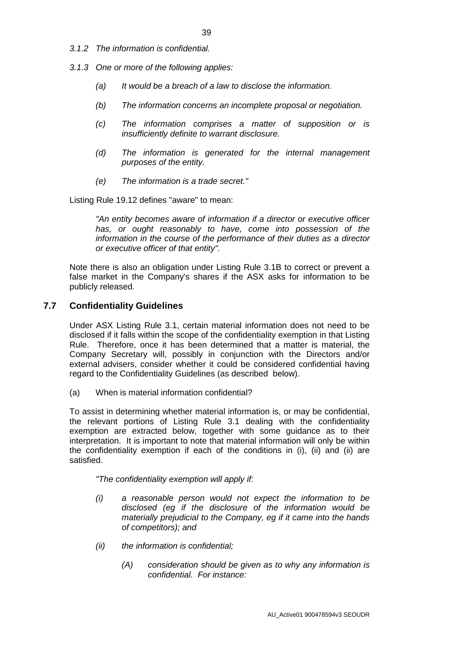- *3.1.2 The information is confidential.*
- *3.1.3 One or more of the following applies:*
	- *(a) It would be a breach of a law to disclose the information.*
	- *(b) The information concerns an incomplete proposal or negotiation.*
	- *(c) The information comprises a matter of supposition or is insufficiently definite to warrant disclosure.*
	- *(d) The information is generated for the internal management purposes of the entity.*
	- *(e) The information is a trade secret."*

Listing Rule 19.12 defines "aware" to mean:

*"An entity becomes aware of information if a director or executive officer has, or ought reasonably to have, come into possession of the information in the course of the performance of their duties as a director or executive officer of that entity".*

Note there is also an obligation under Listing Rule 3.1B to correct or prevent a false market in the Company's shares if the ASX asks for information to be publicly released.

#### **7.7 Confidentiality Guidelines**

Under ASX Listing Rule 3.1, certain material information does not need to be disclosed if it falls within the scope of the confidentiality exemption in that Listing Rule. Therefore, once it has been determined that a matter is material, the Company Secretary will, possibly in conjunction with the Directors and/or external advisers, consider whether it could be considered confidential having regard to the Confidentiality Guidelines (as described below).

(a) When is material information confidential?

To assist in determining whether material information is, or may be confidential, the relevant portions of Listing Rule 3.1 dealing with the confidentiality exemption are extracted below, together with some guidance as to their interpretation. It is important to note that material information will only be within the confidentiality exemption if each of the conditions in (i), (ii) and (ii) are satisfied.

*"The confidentiality exemption will apply if:*

- *(i) a reasonable person would not expect the information to be disclosed (eg if the disclosure of the information would be materially prejudicial to the Company, eg if it came into the hands of competitors); and*
- *(ii) the information is confidential;* 
	- *(A) consideration should be given as to why any information is confidential. For instance:*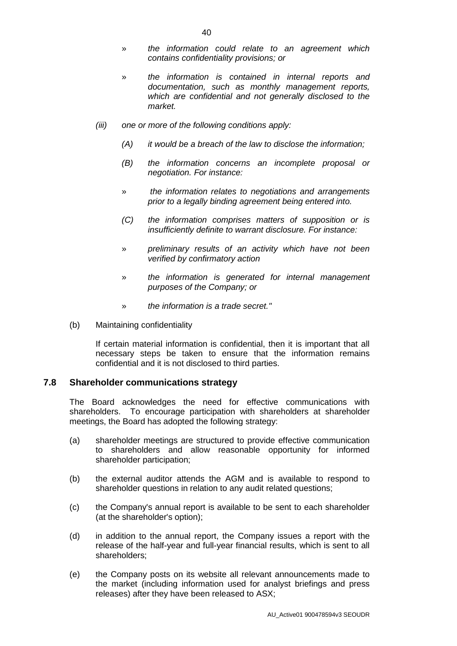- 40
- » *the information could relate to an agreement which contains confidentiality provisions; or*
- » *the information is contained in internal reports and documentation, such as monthly management reports, which are confidential and not generally disclosed to the market.*
- *(iii) one or more of the following conditions apply:*
	- *(A) it would be a breach of the law to disclose the information;*
	- *(B) the information concerns an incomplete proposal or negotiation. For instance:*
	- » *the information relates to negotiations and arrangements prior to a legally binding agreement being entered into.*
	- *(C) the information comprises matters of supposition or is insufficiently definite to warrant disclosure. For instance:*
	- » *preliminary results of an activity which have not been verified by confirmatory action*
	- » *the information is generated for internal management purposes of the Company; or*
	- » *the information is a trade secret."*
- (b) Maintaining confidentiality

If certain material information is confidential, then it is important that all necessary steps be taken to ensure that the information remains confidential and it is not disclosed to third parties.

#### **7.8 Shareholder communications strategy**

The Board acknowledges the need for effective communications with shareholders. To encourage participation with shareholders at shareholder meetings, the Board has adopted the following strategy:

- (a) shareholder meetings are structured to provide effective communication to shareholders and allow reasonable opportunity for informed shareholder participation;
- (b) the external auditor attends the AGM and is available to respond to shareholder questions in relation to any audit related questions;
- (c) the Company's annual report is available to be sent to each shareholder (at the shareholder's option);
- (d) in addition to the annual report, the Company issues a report with the release of the half-year and full-year financial results, which is sent to all shareholders;
- (e) the Company posts on its website all relevant announcements made to the market (including information used for analyst briefings and press releases) after they have been released to ASX;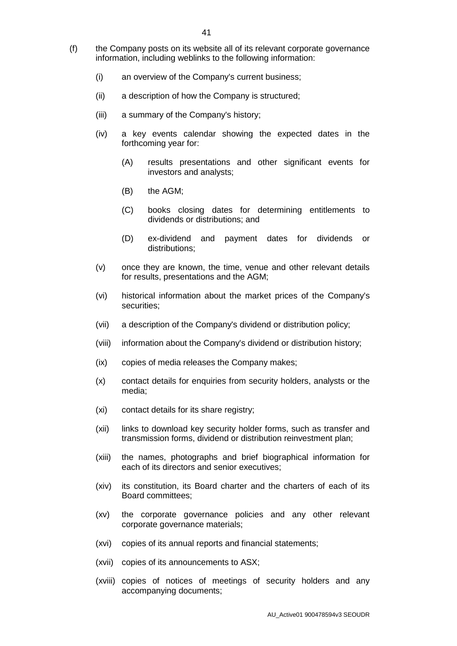- (f) the Company posts on its website all of its relevant corporate governance information, including weblinks to the following information:
	- (i) an overview of the Company's current business;
	- (ii) a description of how the Company is structured;
	- (iii) a summary of the Company's history;
	- (iv) a key events calendar showing the expected dates in the forthcoming year for:
		- (A) results presentations and other significant events for investors and analysts;
		- (B) the AGM;
		- (C) books closing dates for determining entitlements to dividends or distributions; and
		- (D) ex-dividend and payment dates for dividends or distributions;
	- (v) once they are known, the time, venue and other relevant details for results, presentations and the AGM;
	- (vi) historical information about the market prices of the Company's securities;
	- (vii) a description of the Company's dividend or distribution policy;
	- (viii) information about the Company's dividend or distribution history;
	- (ix) copies of media releases the Company makes;
	- (x) contact details for enquiries from security holders, analysts or the media;
	- (xi) contact details for its share registry;
	- (xii) links to download key security holder forms, such as transfer and transmission forms, dividend or distribution reinvestment plan;
	- (xiii) the names, photographs and brief biographical information for each of its directors and senior executives;
	- (xiv) its constitution, its Board charter and the charters of each of its Board committees;
	- (xv) the corporate governance policies and any other relevant corporate governance materials;
	- (xvi) copies of its annual reports and financial statements;
	- (xvii) copies of its announcements to ASX;
	- (xviii) copies of notices of meetings of security holders and any accompanying documents;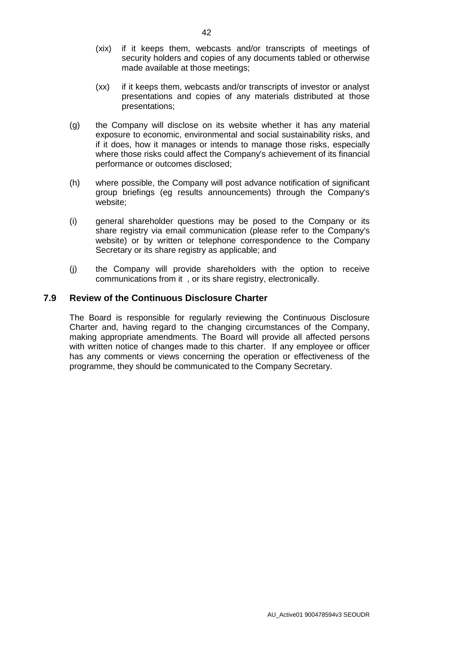- (xix) if it keeps them, webcasts and/or transcripts of meetings of security holders and copies of any documents tabled or otherwise made available at those meetings;
- (xx) if it keeps them, webcasts and/or transcripts of investor or analyst presentations and copies of any materials distributed at those presentations;
- (g) the Company will disclose on its website whether it has any material exposure to economic, environmental and social sustainability risks, and if it does, how it manages or intends to manage those risks, especially where those risks could affect the Company's achievement of its financial performance or outcomes disclosed;
- (h) where possible, the Company will post advance notification of significant group briefings (eg results announcements) through the Company's website;
- (i) general shareholder questions may be posed to the Company or its share registry via email communication (please refer to the Company's website) or by written or telephone correspondence to the Company Secretary or its share registry as applicable; and
- (j) the Company will provide shareholders with the option to receive communications from it , or its share registry, electronically.

#### **7.9 Review of the Continuous Disclosure Charter**

The Board is responsible for regularly reviewing the Continuous Disclosure Charter and, having regard to the changing circumstances of the Company, making appropriate amendments. The Board will provide all affected persons with written notice of changes made to this charter. If any employee or officer has any comments or views concerning the operation or effectiveness of the programme, they should be communicated to the Company Secretary.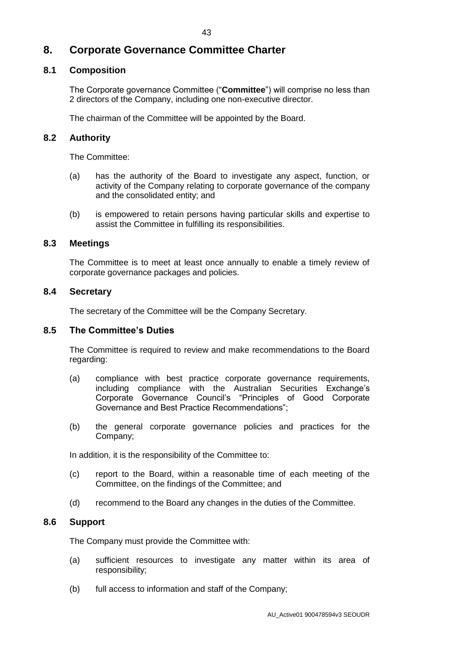# **8. Corporate Governance Committee Charter**

#### **8.1 Composition**

The Corporate governance Committee ("**Committee**") will comprise no less than 2 directors of the Company, including one non-executive director.

The chairman of the Committee will be appointed by the Board.

#### **8.2 Authority**

The Committee:

- (a) has the authority of the Board to investigate any aspect, function, or activity of the Company relating to corporate governance of the company and the consolidated entity; and
- (b) is empowered to retain persons having particular skills and expertise to assist the Committee in fulfilling its responsibilities.

#### **8.3 Meetings**

The Committee is to meet at least once annually to enable a timely review of corporate governance packages and policies.

#### **8.4 Secretary**

The secretary of the Committee will be the Company Secretary.

#### **8.5 The Committee's Duties**

The Committee is required to review and make recommendations to the Board regarding:

- (a) compliance with best practice corporate governance requirements, including compliance with the Australian Securities Exchange's Corporate Governance Council's "Principles of Good Corporate Governance and Best Practice Recommendations";
- (b) the general corporate governance policies and practices for the Company;

In addition, it is the responsibility of the Committee to:

- (c) report to the Board, within a reasonable time of each meeting of the Committee, on the findings of the Committee; and
- (d) recommend to the Board any changes in the duties of the Committee.

#### **8.6 Support**

The Company must provide the Committee with:

- (a) sufficient resources to investigate any matter within its area of responsibility;
- (b) full access to information and staff of the Company;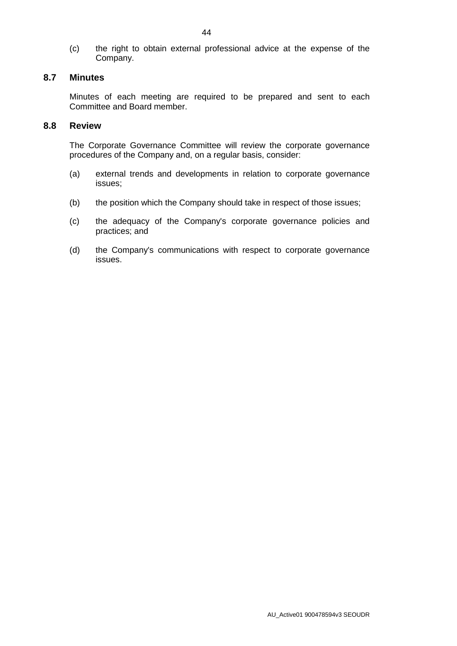(c) the right to obtain external professional advice at the expense of the Company.

#### **8.7 Minutes**

Minutes of each meeting are required to be prepared and sent to each Committee and Board member.

#### **8.8 Review**

The Corporate Governance Committee will review the corporate governance procedures of the Company and, on a regular basis, consider:

- (a) external trends and developments in relation to corporate governance issues;
- (b) the position which the Company should take in respect of those issues;
- (c) the adequacy of the Company's corporate governance policies and practices; and
- (d) the Company's communications with respect to corporate governance issues.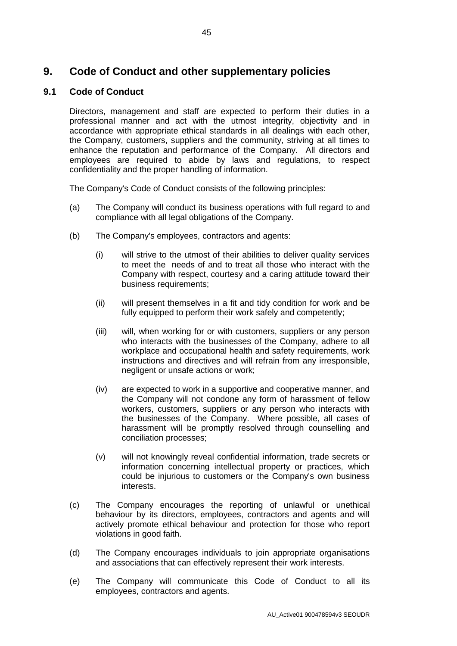# **9. Code of Conduct and other supplementary policies**

### **9.1 Code of Conduct**

Directors, management and staff are expected to perform their duties in a professional manner and act with the utmost integrity, objectivity and in accordance with appropriate ethical standards in all dealings with each other, the Company, customers, suppliers and the community, striving at all times to enhance the reputation and performance of the Company. All directors and employees are required to abide by laws and regulations, to respect confidentiality and the proper handling of information.

The Company's Code of Conduct consists of the following principles:

- (a) The Company will conduct its business operations with full regard to and compliance with all legal obligations of the Company.
- (b) The Company's employees, contractors and agents:
	- (i) will strive to the utmost of their abilities to deliver quality services to meet the needs of and to treat all those who interact with the Company with respect, courtesy and a caring attitude toward their business requirements;
	- (ii) will present themselves in a fit and tidy condition for work and be fully equipped to perform their work safely and competently;
	- (iii) will, when working for or with customers, suppliers or any person who interacts with the businesses of the Company, adhere to all workplace and occupational health and safety requirements, work instructions and directives and will refrain from any irresponsible, negligent or unsafe actions or work;
	- (iv) are expected to work in a supportive and cooperative manner, and the Company will not condone any form of harassment of fellow workers, customers, suppliers or any person who interacts with the businesses of the Company. Where possible, all cases of harassment will be promptly resolved through counselling and conciliation processes;
	- (v) will not knowingly reveal confidential information, trade secrets or information concerning intellectual property or practices, which could be injurious to customers or the Company's own business interests.
- (c) The Company encourages the reporting of unlawful or unethical behaviour by its directors, employees, contractors and agents and will actively promote ethical behaviour and protection for those who report violations in good faith.
- (d) The Company encourages individuals to join appropriate organisations and associations that can effectively represent their work interests.
- (e) The Company will communicate this Code of Conduct to all its employees, contractors and agents.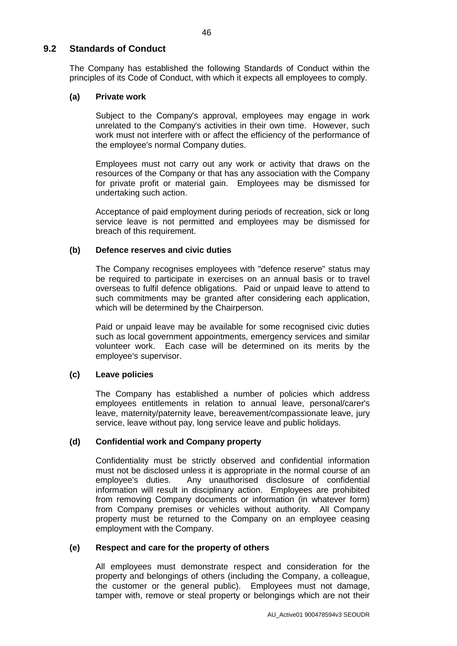#### **9.2 Standards of Conduct**

The Company has established the following Standards of Conduct within the principles of its Code of Conduct, with which it expects all employees to comply.

#### **(a) Private work**

Subject to the Company's approval, employees may engage in work unrelated to the Company's activities in their own time. However, such work must not interfere with or affect the efficiency of the performance of the employee's normal Company duties.

Employees must not carry out any work or activity that draws on the resources of the Company or that has any association with the Company for private profit or material gain. Employees may be dismissed for undertaking such action.

Acceptance of paid employment during periods of recreation, sick or long service leave is not permitted and employees may be dismissed for breach of this requirement.

#### **(b) Defence reserves and civic duties**

The Company recognises employees with "defence reserve" status may be required to participate in exercises on an annual basis or to travel overseas to fulfil defence obligations. Paid or unpaid leave to attend to such commitments may be granted after considering each application, which will be determined by the Chairperson.

Paid or unpaid leave may be available for some recognised civic duties such as local government appointments, emergency services and similar volunteer work. Each case will be determined on its merits by the employee's supervisor.

#### **(c) Leave policies**

The Company has established a number of policies which address employees entitlements in relation to annual leave, personal/carer's leave, maternity/paternity leave, bereavement/compassionate leave, jury service, leave without pay, long service leave and public holidays.

#### **(d) Confidential work and Company property**

Confidentiality must be strictly observed and confidential information must not be disclosed unless it is appropriate in the normal course of an employee's duties. Any unauthorised disclosure of confidential information will result in disciplinary action. Employees are prohibited from removing Company documents or information (in whatever form) from Company premises or vehicles without authority. All Company property must be returned to the Company on an employee ceasing employment with the Company.

#### **(e) Respect and care for the property of others**

All employees must demonstrate respect and consideration for the property and belongings of others (including the Company, a colleague, the customer or the general public). Employees must not damage, tamper with, remove or steal property or belongings which are not their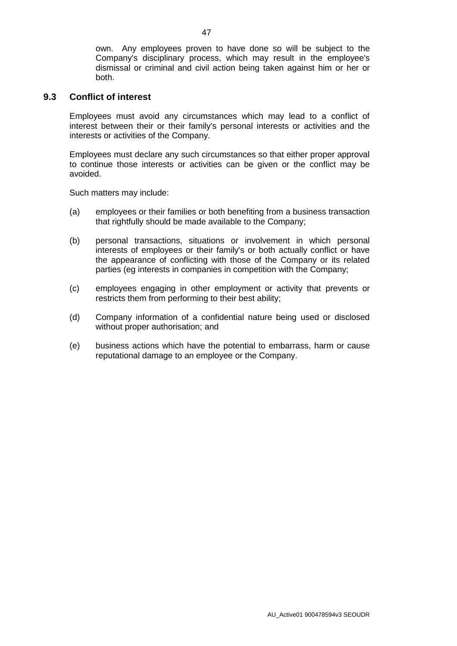own. Any employees proven to have done so will be subject to the Company's disciplinary process, which may result in the employee's dismissal or criminal and civil action being taken against him or her or both.

#### **9.3 Conflict of interest**

Employees must avoid any circumstances which may lead to a conflict of interest between their or their family's personal interests or activities and the interests or activities of the Company.

Employees must declare any such circumstances so that either proper approval to continue those interests or activities can be given or the conflict may be avoided.

Such matters may include:

- (a) employees or their families or both benefiting from a business transaction that rightfully should be made available to the Company;
- (b) personal transactions, situations or involvement in which personal interests of employees or their family's or both actually conflict or have the appearance of conflicting with those of the Company or its related parties (eg interests in companies in competition with the Company;
- (c) employees engaging in other employment or activity that prevents or restricts them from performing to their best ability;
- (d) Company information of a confidential nature being used or disclosed without proper authorisation; and
- (e) business actions which have the potential to embarrass, harm or cause reputational damage to an employee or the Company.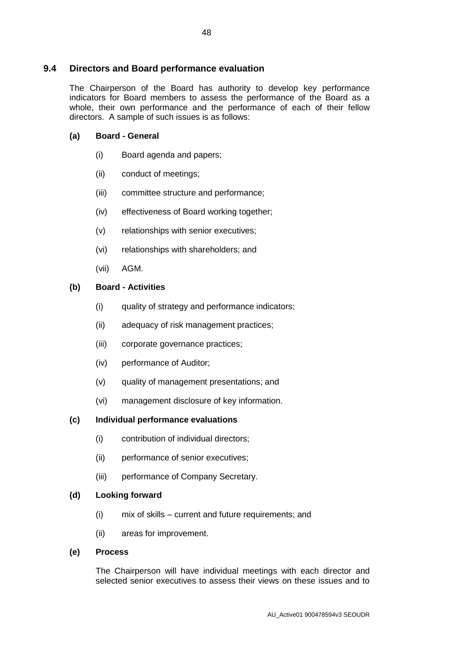#### **9.4 Directors and Board performance evaluation**

The Chairperson of the Board has authority to develop key performance indicators for Board members to assess the performance of the Board as a whole, their own performance and the performance of each of their fellow directors. A sample of such issues is as follows:

#### **(a) Board - General**

- (i) Board agenda and papers;
- (ii) conduct of meetings;
- (iii) committee structure and performance;
- (iv) effectiveness of Board working together;
- (v) relationships with senior executives;
- (vi) relationships with shareholders; and
- (vii) AGM.

#### **(b) Board - Activities**

- (i) quality of strategy and performance indicators;
- (ii) adequacy of risk management practices;
- (iii) corporate governance practices;
- (iv) performance of Auditor;
- (v) quality of management presentations; and
- (vi) management disclosure of key information.

#### **(c) Individual performance evaluations**

- (i) contribution of individual directors;
- (ii) performance of senior executives;
- (iii) performance of Company Secretary.

#### **(d) Looking forward**

- (i) mix of skills current and future requirements; and
- (ii) areas for improvement.

#### **(e) Process**

The Chairperson will have individual meetings with each director and selected senior executives to assess their views on these issues and to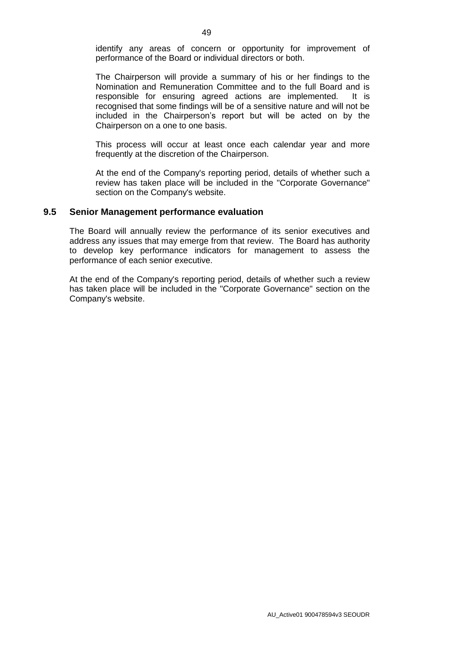identify any areas of concern or opportunity for improvement of performance of the Board or individual directors or both.

The Chairperson will provide a summary of his or her findings to the Nomination and Remuneration Committee and to the full Board and is responsible for ensuring agreed actions are implemented. It is recognised that some findings will be of a sensitive nature and will not be included in the Chairperson's report but will be acted on by the Chairperson on a one to one basis.

This process will occur at least once each calendar year and more frequently at the discretion of the Chairperson.

At the end of the Company's reporting period, details of whether such a review has taken place will be included in the "Corporate Governance" section on the Company's website.

#### **9.5 Senior Management performance evaluation**

The Board will annually review the performance of its senior executives and address any issues that may emerge from that review. The Board has authority to develop key performance indicators for management to assess the performance of each senior executive.

At the end of the Company's reporting period, details of whether such a review has taken place will be included in the "Corporate Governance" section on the Company's website.